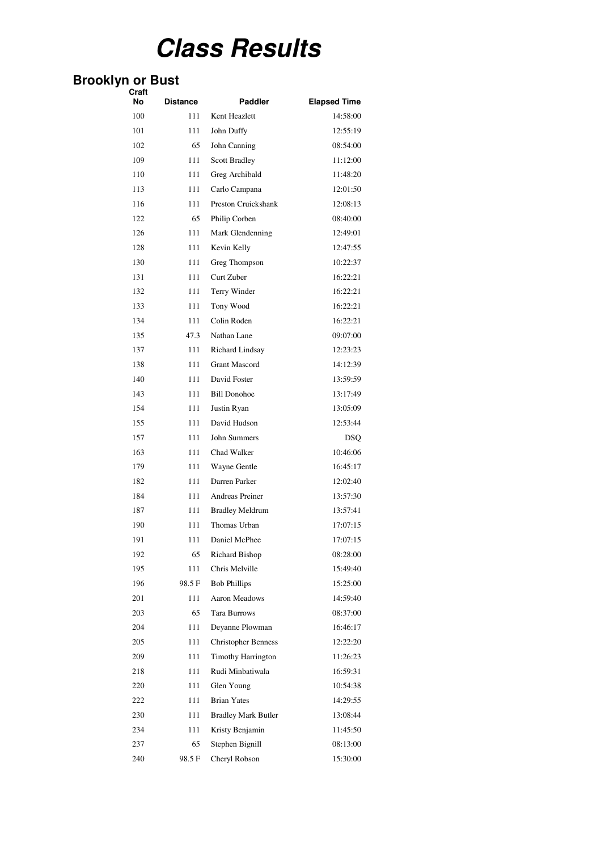# **Class Results**

#### **Brooklyn or Bust**

| Craft<br>No | <b>Distance</b> | Paddler                                       | <b>Elapsed Time</b>  |
|-------------|-----------------|-----------------------------------------------|----------------------|
| 100         | 111             | Kent Heazlett                                 | 14:58:00             |
| 101         | 111             | John Duffy                                    | 12:55:19             |
| 102         | 65              | John Canning                                  | 08:54:00             |
| 109         | 111             | <b>Scott Bradley</b>                          | 11:12:00             |
| 110         | 111             | Greg Archibald                                | 11:48:20             |
| 113         | 111             | Carlo Campana                                 | 12:01:50             |
| 116         | 111             | Preston Cruickshank                           | 12:08:13             |
| 122         | 65              | Philip Corben                                 | 08:40:00             |
| 126         | 111             | Mark Glendenning                              | 12:49:01             |
| 128         | 111             | Kevin Kelly                                   | 12:47:55             |
| 130         | 111             | Greg Thompson                                 | 10:22:37             |
| 131         | 111             | Curt Zuber                                    | 16:22:21             |
| 132         | 111             | Terry Winder                                  | 16:22:21             |
| 133         | 111             | Tony Wood                                     | 16:22:21             |
| 134         | 111             | Colin Roden                                   | 16:22:21             |
| 135         | 47.3            | Nathan Lane                                   | 09:07:00             |
| 137         | 111             | Richard Lindsay                               | 12:23:23             |
| 138         | 111             | <b>Grant Mascord</b>                          | 14:12:39             |
| 140         | 111             | David Foster                                  | 13:59:59             |
| 143         |                 | <b>Bill Donohoe</b>                           | 13:17:49             |
| 154         | 111<br>111      |                                               |                      |
|             |                 | Justin Ryan<br>David Hudson                   | 13:05:09             |
| 155<br>157  | 111<br>111      | John Summers                                  | 12:53:44             |
|             |                 | Chad Walker                                   | DSQ<br>10:46:06      |
| 163         | 111             |                                               |                      |
| 179<br>182  | 111<br>111      | Wayne Gentle<br>Darren Parker                 | 16:45:17<br>12:02:40 |
|             |                 |                                               |                      |
| 184         | 111             | <b>Andreas Preiner</b>                        | 13:57:30             |
| 187         | 111             | <b>Bradley Meldrum</b><br>Thomas Urban        | 13:57:41             |
| 190         | 111             |                                               | 17:07:15             |
| 191         | 111             | Daniel McPhee                                 | 17:07:15             |
| 192         | 65              | <b>Richard Bishop</b>                         | 08:28:00             |
| 195         | 111             | Chris Melville                                | 15:49:40             |
| 196         | 98.5F           | <b>Bob Phillips</b>                           | 15:25:00             |
| 201         | 111             | Aaron Meadows                                 | 14:59:40             |
| 203         | 65              | Tara Burrows                                  | 08:37:00             |
| 204         | 111             | Deyanne Plowman                               | 16:46:17<br>12:22:20 |
| 205         | 111             | <b>Christopher Benness</b>                    |                      |
| 209         | 111             | <b>Timothy Harrington</b><br>Rudi Minbatiwala | 11:26:23             |
| 218         | 111             |                                               | 16:59:31             |
| 220         | 111             | Glen Young                                    | 10:54:38             |
| 222         | 111             | <b>Brian Yates</b>                            | 14:29:55             |
| 230         | 111             | <b>Bradley Mark Butler</b>                    | 13:08:44             |
| 234         | 111             | Kristy Benjamin                               | 11:45:50             |
| 237         | 65              | Stephen Bignill                               | 08:13:00             |
| 240         | 98.5 F          | Cheryl Robson                                 | 15:30:00             |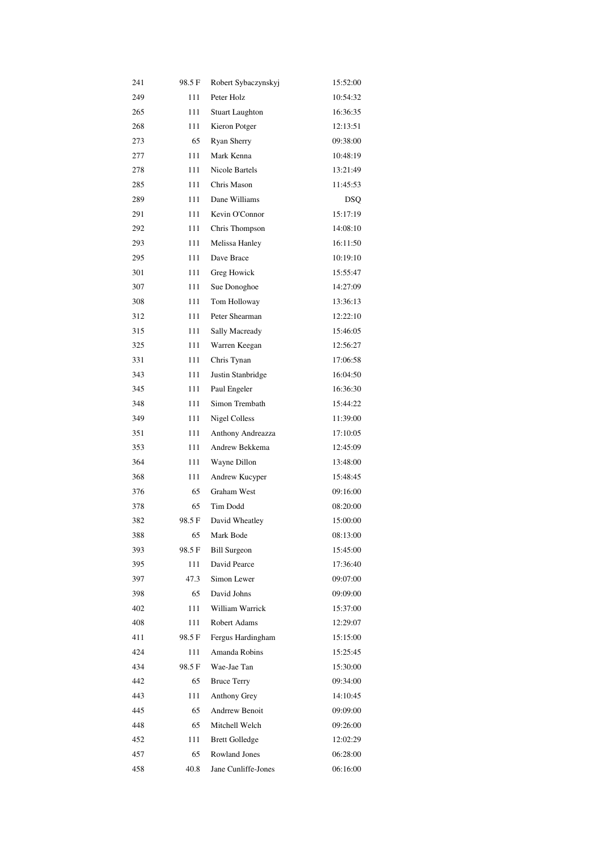| 241 | 98.5F | Robert Sybaczynskyj    | 15:52:00   |
|-----|-------|------------------------|------------|
| 249 | 111   | Peter Holz             | 10:54:32   |
| 265 | 111   | <b>Stuart Laughton</b> | 16:36:35   |
| 268 | 111   | Kieron Potger          | 12:13:51   |
| 273 | 65    | Ryan Sherry            | 09:38:00   |
| 277 | 111   | Mark Kenna             | 10:48:19   |
| 278 | 111   | Nicole Bartels         | 13:21:49   |
| 285 | 111   | Chris Mason            | 11:45:53   |
| 289 | 111   | Dane Williams          | <b>DSO</b> |
| 291 | 111   | Kevin O'Connor         | 15:17:19   |
| 292 | 111   | Chris Thompson         | 14:08:10   |
| 293 | 111   | Melissa Hanley         | 16:11:50   |
| 295 | 111   | Dave Brace             | 10:19:10   |
| 301 | 111   | Greg Howick            | 15:55:47   |
| 307 | 111   | Sue Donoghoe           | 14:27:09   |
| 308 | 111   | Tom Holloway           | 13:36:13   |
| 312 | 111   | Peter Shearman         | 12:22:10   |
| 315 | 111   | Sally Macready         | 15:46:05   |
| 325 | 111   | Warren Keegan          | 12:56:27   |
| 331 | 111   | Chris Tynan            | 17:06:58   |
| 343 | 111   | Justin Stanbridge      | 16:04:50   |
| 345 | 111   | Paul Engeler           | 16:36:30   |
| 348 | 111   | Simon Trembath         | 15:44:22   |
| 349 | 111   | <b>Nigel Colless</b>   | 11:39:00   |
| 351 | 111   | Anthony Andreazza      | 17:10:05   |
| 353 | 111   | Andrew Bekkema         | 12:45:09   |
| 364 | 111   | Wayne Dillon           | 13:48:00   |
| 368 | 111   | Andrew Kucyper         | 15:48:45   |
| 376 | 65    | Graham West            | 09:16:00   |
| 378 | 65    | Tim Dodd               | 08:20:00   |
| 382 | 98.5F | David Wheatley         | 15:00:00   |
| 388 | 65    | Mark Bode              | 08:13:00   |
| 393 | 98.5F | <b>Bill Surgeon</b>    | 15:45:00   |
| 395 | 111   | David Pearce           | 17:36:40   |
| 397 | 47.3  | Simon Lewer            | 09:07:00   |
| 398 | 65    | David Johns            | 09:09:00   |
| 402 | 111   | William Warrick        | 15:37:00   |
| 408 | 111   | <b>Robert Adams</b>    | 12:29:07   |
| 411 | 98.5F | Fergus Hardingham      | 15:15:00   |
| 424 | 111   | Amanda Robins          | 15:25:45   |
| 434 | 98.5F | Wae-Jae Tan            | 15:30:00   |
| 442 | 65    | <b>Bruce Terry</b>     | 09:34:00   |
| 443 | 111   | Anthony Grey           | 14:10:45   |
| 445 | 65    | <b>Andrrew Benoit</b>  | 09:09:00   |
| 448 | 65    | Mitchell Welch         | 09:26:00   |
| 452 | 111   | <b>Brett Golledge</b>  | 12:02:29   |
| 457 | 65    | <b>Rowland Jones</b>   | 06:28:00   |
| 458 | 40.8  | Jane Cunliffe-Jones    | 06:16:00   |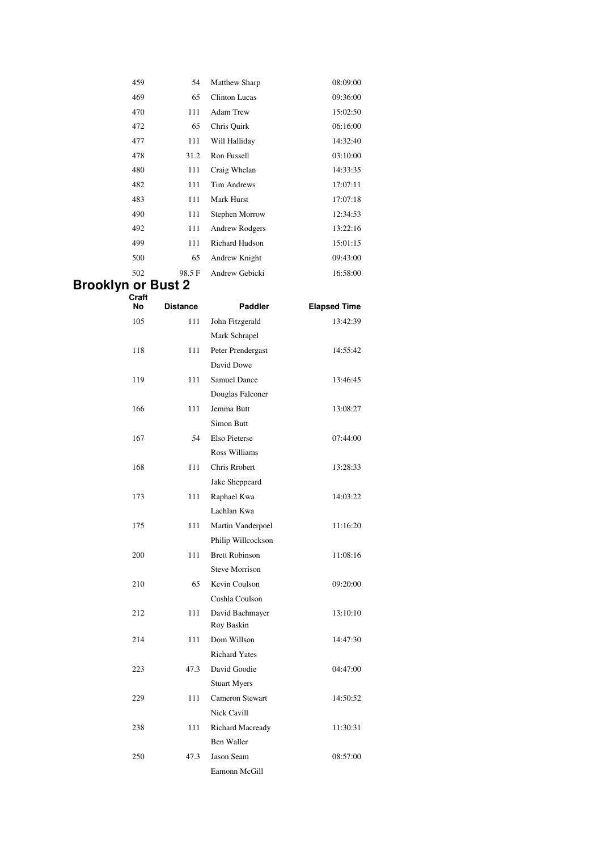| 459 | 54    | <b>Matthew Sharp</b>  | 08:09:00 |
|-----|-------|-----------------------|----------|
| 469 | 65    | <b>Clinton Lucas</b>  | 09:36:00 |
| 470 | 111   | <b>Adam Trew</b>      | 15:02:50 |
| 472 | 65    | Chris Quirk           | 06:16:00 |
| 477 | 111   | Will Halliday         | 14:32:40 |
| 478 | 31.2  | Ron Fussell           | 03:10:00 |
| 480 | 111   | Craig Whelan          | 14:33:35 |
| 482 | 111   | <b>Tim Andrews</b>    | 17:07:11 |
| 483 | 111   | <b>Mark Hurst</b>     | 17:07:18 |
| 490 | 111   | Stephen Morrow        | 12:34:53 |
| 492 | 111   | Andrew Rodgers        | 13:22:16 |
| 499 | 111   | <b>Richard Hudson</b> | 15:01:15 |
| 500 | 65    | Andrew Knight         | 09:43:00 |
| 502 | 98.5F | Andrew Gebicki        | 16:58:00 |

#### **Brooklyn or Bust 2 Craft**

| No  | <b>Distance</b> | <b>Paddler</b>         | <b>Elapsed Time</b> |
|-----|-----------------|------------------------|---------------------|
| 105 | 111             | John Fitzgerald        | 13:42:39            |
|     |                 | Mark Schrapel          |                     |
| 118 | 111             | Peter Prendergast      | 14:55:42            |
|     |                 | David Dowe             |                     |
| 119 | 111             | <b>Samuel Dance</b>    | 13:46:45            |
|     |                 | Douglas Falconer       |                     |
| 166 | 111             | Jemma Butt             | 13:08:27            |
|     |                 | <b>Simon Butt</b>      |                     |
| 167 | 54              | Elso Pieterse          | 07:44:00            |
|     |                 | <b>Ross Williams</b>   |                     |
| 168 | 111             | <b>Chris Rrobert</b>   | 13:28:33            |
|     |                 | Jake Sheppeard         |                     |
| 173 | 111             | Raphael Kwa            | 14:03:22            |
|     |                 | Lachlan Kwa            |                     |
| 175 | 111             | Martin Vanderpoel      | 11:16:20            |
|     |                 | Philip Willcockson     |                     |
| 200 | 111             | <b>Brett Robinson</b>  | 11:08:16            |
|     |                 | <b>Steve Morrison</b>  |                     |
| 210 | 65              | Kevin Coulson          | 09:20:00            |
|     |                 | Cushla Coulson         |                     |
| 212 | 111             | David Bachmayer        | 13:10:10            |
|     |                 | Roy Baskin             |                     |
| 214 | 111             | Dom Willson            | 14:47:30            |
|     |                 | <b>Richard Yates</b>   |                     |
| 223 | 47.3            | David Goodie           | 04:47:00            |
|     |                 | <b>Stuart Myers</b>    |                     |
| 229 | 111             | <b>Cameron Stewart</b> | 14:50:52            |
|     |                 | <b>Nick Cavill</b>     |                     |
| 238 | 111             | Richard Macready       | 11:30:31            |
|     |                 | <b>Ben Waller</b>      |                     |
| 250 | 47.3            | Jason Seam             | 08:57:00            |
|     |                 | Eamonn McGill          |                     |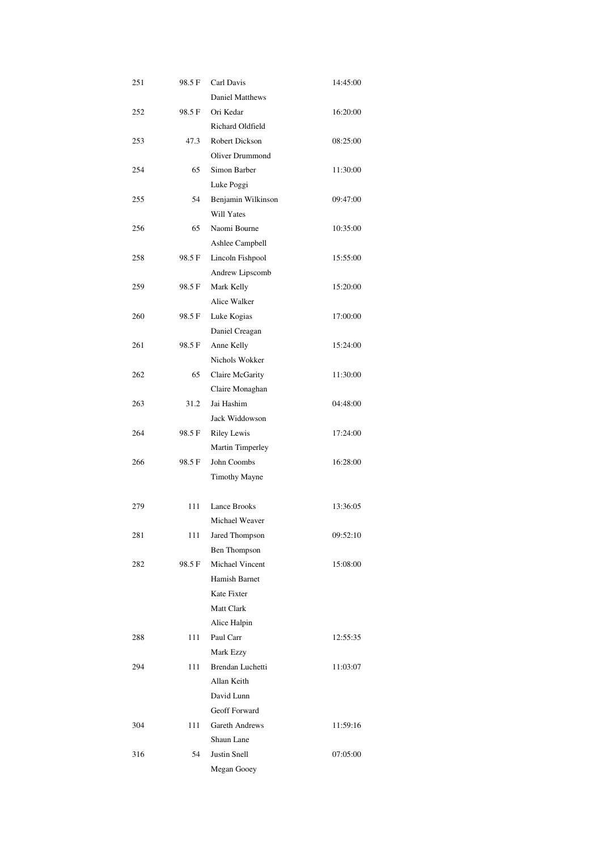| 98.5F  | Carl Davis                                                                                     | 14:45:00                                                                                                                                                                                                                                                                                                                                                                                                                                                                                       |
|--------|------------------------------------------------------------------------------------------------|------------------------------------------------------------------------------------------------------------------------------------------------------------------------------------------------------------------------------------------------------------------------------------------------------------------------------------------------------------------------------------------------------------------------------------------------------------------------------------------------|
|        | <b>Daniel Matthews</b>                                                                         |                                                                                                                                                                                                                                                                                                                                                                                                                                                                                                |
| 98.5 F | Ori Kedar                                                                                      | 16:20:00                                                                                                                                                                                                                                                                                                                                                                                                                                                                                       |
|        | Richard Oldfield                                                                               |                                                                                                                                                                                                                                                                                                                                                                                                                                                                                                |
| 47.3   | <b>Robert Dickson</b>                                                                          | 08:25:00                                                                                                                                                                                                                                                                                                                                                                                                                                                                                       |
|        | Oliver Drummond                                                                                |                                                                                                                                                                                                                                                                                                                                                                                                                                                                                                |
| 65     | Simon Barber                                                                                   | 11:30:00                                                                                                                                                                                                                                                                                                                                                                                                                                                                                       |
|        |                                                                                                |                                                                                                                                                                                                                                                                                                                                                                                                                                                                                                |
| 54     |                                                                                                | 09:47:00                                                                                                                                                                                                                                                                                                                                                                                                                                                                                       |
|        | Will Yates                                                                                     |                                                                                                                                                                                                                                                                                                                                                                                                                                                                                                |
| 65     | Naomi Bourne                                                                                   | 10:35:00                                                                                                                                                                                                                                                                                                                                                                                                                                                                                       |
|        |                                                                                                |                                                                                                                                                                                                                                                                                                                                                                                                                                                                                                |
|        |                                                                                                | 15:55:00                                                                                                                                                                                                                                                                                                                                                                                                                                                                                       |
|        |                                                                                                |                                                                                                                                                                                                                                                                                                                                                                                                                                                                                                |
|        |                                                                                                | 15:20:00                                                                                                                                                                                                                                                                                                                                                                                                                                                                                       |
|        |                                                                                                |                                                                                                                                                                                                                                                                                                                                                                                                                                                                                                |
|        |                                                                                                | 17:00:00                                                                                                                                                                                                                                                                                                                                                                                                                                                                                       |
|        |                                                                                                |                                                                                                                                                                                                                                                                                                                                                                                                                                                                                                |
|        |                                                                                                | 15:24:00                                                                                                                                                                                                                                                                                                                                                                                                                                                                                       |
|        |                                                                                                |                                                                                                                                                                                                                                                                                                                                                                                                                                                                                                |
|        |                                                                                                |                                                                                                                                                                                                                                                                                                                                                                                                                                                                                                |
|        |                                                                                                | 11:30:00                                                                                                                                                                                                                                                                                                                                                                                                                                                                                       |
|        |                                                                                                |                                                                                                                                                                                                                                                                                                                                                                                                                                                                                                |
|        |                                                                                                | 04:48:00                                                                                                                                                                                                                                                                                                                                                                                                                                                                                       |
|        |                                                                                                |                                                                                                                                                                                                                                                                                                                                                                                                                                                                                                |
|        |                                                                                                | 17:24:00                                                                                                                                                                                                                                                                                                                                                                                                                                                                                       |
|        |                                                                                                |                                                                                                                                                                                                                                                                                                                                                                                                                                                                                                |
|        |                                                                                                | 16:28:00                                                                                                                                                                                                                                                                                                                                                                                                                                                                                       |
|        |                                                                                                |                                                                                                                                                                                                                                                                                                                                                                                                                                                                                                |
|        |                                                                                                |                                                                                                                                                                                                                                                                                                                                                                                                                                                                                                |
|        |                                                                                                | 13:36:05                                                                                                                                                                                                                                                                                                                                                                                                                                                                                       |
|        |                                                                                                |                                                                                                                                                                                                                                                                                                                                                                                                                                                                                                |
|        |                                                                                                | 09:52:10                                                                                                                                                                                                                                                                                                                                                                                                                                                                                       |
|        |                                                                                                |                                                                                                                                                                                                                                                                                                                                                                                                                                                                                                |
|        |                                                                                                | 15:08:00                                                                                                                                                                                                                                                                                                                                                                                                                                                                                       |
|        |                                                                                                |                                                                                                                                                                                                                                                                                                                                                                                                                                                                                                |
|        |                                                                                                |                                                                                                                                                                                                                                                                                                                                                                                                                                                                                                |
|        |                                                                                                |                                                                                                                                                                                                                                                                                                                                                                                                                                                                                                |
|        |                                                                                                |                                                                                                                                                                                                                                                                                                                                                                                                                                                                                                |
| 111    | Paul Carr                                                                                      | 12:55:35                                                                                                                                                                                                                                                                                                                                                                                                                                                                                       |
|        | Mark Ezzy                                                                                      |                                                                                                                                                                                                                                                                                                                                                                                                                                                                                                |
| 111    | Brendan Luchetti                                                                               | 11:03:07                                                                                                                                                                                                                                                                                                                                                                                                                                                                                       |
|        | Allan Keith                                                                                    |                                                                                                                                                                                                                                                                                                                                                                                                                                                                                                |
|        | David Lunn                                                                                     |                                                                                                                                                                                                                                                                                                                                                                                                                                                                                                |
|        | Geoff Forward                                                                                  |                                                                                                                                                                                                                                                                                                                                                                                                                                                                                                |
| 111    | Gareth Andrews                                                                                 | 11:59:16                                                                                                                                                                                                                                                                                                                                                                                                                                                                                       |
|        | Shaun Lane                                                                                     |                                                                                                                                                                                                                                                                                                                                                                                                                                                                                                |
| 54     | Justin Snell                                                                                   | 07:05:00                                                                                                                                                                                                                                                                                                                                                                                                                                                                                       |
|        | Megan Gooey                                                                                    |                                                                                                                                                                                                                                                                                                                                                                                                                                                                                                |
|        | 98.5 F<br>98.5 F<br>98.5 F<br>98.5 F<br>65<br>31.2<br>98.5 F<br>98.5 F<br>111<br>111<br>98.5 F | Luke Poggi<br>Benjamin Wilkinson<br>Ashlee Campbell<br>Lincoln Fishpool<br>Andrew Lipscomb<br>Mark Kelly<br>Alice Walker<br>Luke Kogias<br>Daniel Creagan<br>Anne Kelly<br>Nichols Wokker<br>Claire McGarity<br>Claire Monaghan<br>Jai Hashim<br>Jack Widdowson<br><b>Riley Lewis</b><br>Martin Timperley<br>John Coombs<br>Timothy Mayne<br>Lance Brooks<br>Michael Weaver<br>Jared Thompson<br>Ben Thompson<br>Michael Vincent<br>Hamish Barnet<br>Kate Fixter<br>Matt Clark<br>Alice Halpin |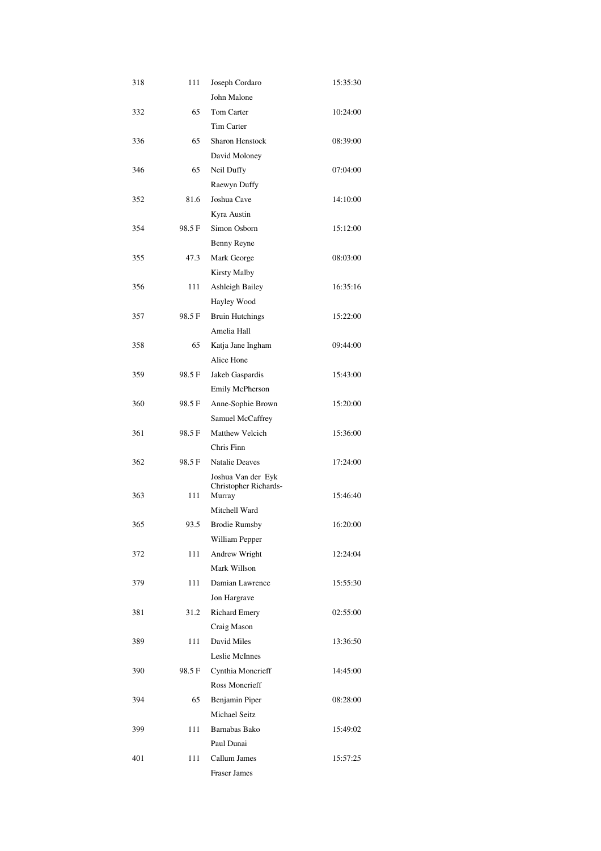| 318 | 111    | Joseph Cordaro         | 15:35:30 |
|-----|--------|------------------------|----------|
|     |        | John Malone            |          |
| 332 | 65     | Tom Carter             | 10:24:00 |
|     |        | <b>Tim Carter</b>      |          |
| 336 | 65     | <b>Sharon Henstock</b> | 08:39:00 |
|     |        | David Moloney          |          |
| 346 | 65     | Neil Duffy             | 07:04:00 |
|     |        | Raewyn Duffy           |          |
| 352 | 81.6   | Joshua Cave            | 14:10:00 |
|     |        | Kyra Austin            |          |
| 354 | 98.5 F | Simon Osborn           | 15:12:00 |
|     |        | Benny Reyne            |          |
| 355 | 47.3   | Mark George            | 08:03:00 |
|     |        | Kirsty Malby           |          |
| 356 | 111    | Ashleigh Bailey        | 16:35:16 |
|     |        | Hayley Wood            |          |
| 357 | 98.5 F | <b>Bruin Hutchings</b> | 15:22:00 |
|     |        | Amelia Hall            |          |
| 358 | 65     | Katja Jane Ingham      | 09:44:00 |
|     |        | Alice Hone             |          |
| 359 | 98.5 F | Jakeb Gaspardis        | 15:43:00 |
|     |        | Emily McPherson        |          |
| 360 | 98.5 F | Anne-Sophie Brown      | 15:20:00 |
|     |        | Samuel McCaffrey       |          |
| 361 | 98.5 F | <b>Matthew Velcich</b> | 15:36:00 |
|     |        | Chris Finn             |          |
| 362 | 98.5 F | <b>Natalie Deaves</b>  | 17:24:00 |
|     |        | Joshua Van der Eyk     |          |
|     |        | Christopher Richards-  |          |
| 363 | 111    | Murray                 | 15:46:40 |
|     |        | Mitchell Ward          |          |
| 365 | 93.5   | <b>Brodie Rumsby</b>   | 16:20:00 |
|     |        | William Pepper         |          |
| 372 | 111    | Andrew Wright          | 12:24:04 |
|     |        | Mark Willson           |          |
| 379 | 111    | Damian Lawrence        | 15:55:30 |
|     |        | Jon Hargrave           |          |
| 381 | 31.2   | <b>Richard Emery</b>   | 02:55:00 |
|     |        | Craig Mason            |          |
| 389 | 111    | David Miles            | 13:36:50 |
|     |        | Leslie McInnes         |          |
| 390 | 98.5 F | Cynthia Moncrieff      | 14:45:00 |
|     |        | <b>Ross Moncrieff</b>  |          |
| 394 | 65     | Benjamin Piper         | 08:28:00 |
|     |        | <b>Michael Seitz</b>   |          |
| 399 | 111    | Barnabas Bako          | 15:49:02 |
|     |        | Paul Dunai             |          |
| 401 | 111    | Callum James           | 15:57:25 |
|     |        | <b>Fraser James</b>    |          |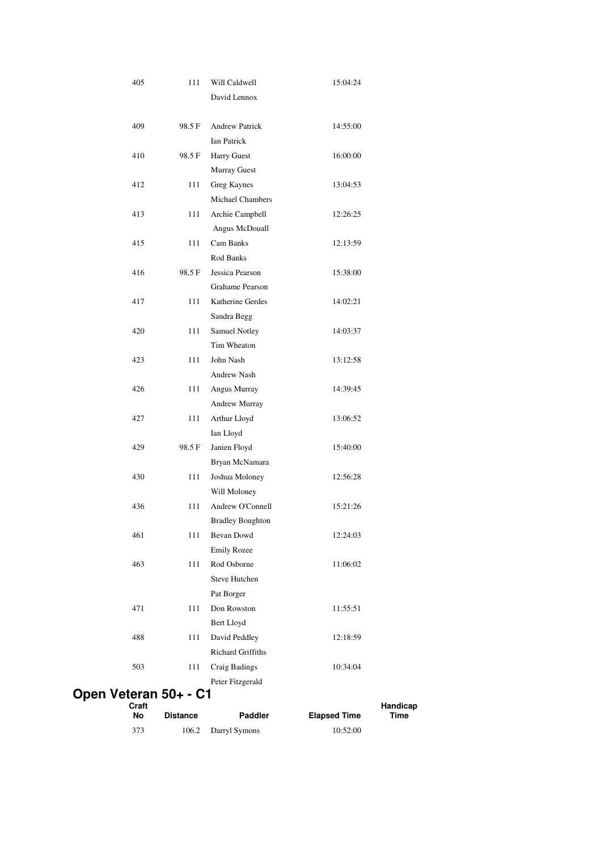| 405              | 111             | Will Caldwell            | 15:04:24            |                  |
|------------------|-----------------|--------------------------|---------------------|------------------|
|                  |                 | David Lennox             |                     |                  |
|                  |                 |                          |                     |                  |
| 409              | 98.5F           | <b>Andrew Patrick</b>    | 14:55:00            |                  |
|                  |                 | <b>Ian Patrick</b>       |                     |                  |
| 410              | 98.5 F          | <b>Harry Guest</b>       | 16:00:00            |                  |
|                  |                 | Murray Guest             |                     |                  |
| 412              | 111             | Greg Kaynes              | 13:04:53            |                  |
|                  |                 | <b>Michael Chambers</b>  |                     |                  |
| 413              | 111             | Archie Campbell          | 12:26:25            |                  |
|                  |                 | Angus McDouall           |                     |                  |
| 415              | 111             | Cam Banks                | 12:13:59            |                  |
|                  |                 | Rod Banks                |                     |                  |
| 416              | 98.5 F          | Jessica Pearson          | 15:38:00            |                  |
|                  |                 | <b>Grahame Pearson</b>   |                     |                  |
| 417              | 111             | Katherine Gerdes         | 14:02:21            |                  |
|                  |                 | Sandra Begg              |                     |                  |
| 420              | 111             | Samuel Notley            | 14:03:37            |                  |
|                  |                 | Tim Wheaton              |                     |                  |
| 423              | 111             | John Nash                | 13:12:58            |                  |
|                  |                 | Andrew Nash              |                     |                  |
| 426              | 111             | Angus Murray             | 14:39:45            |                  |
|                  |                 | Andrew Murray            |                     |                  |
| 427              | 111             | Arthur Lloyd             | 13:06:52            |                  |
|                  |                 | Ian Lloyd                |                     |                  |
| 429              | 98.5 F          | Janien Floyd             | 15:40:00            |                  |
|                  |                 | Bryan McNamara           |                     |                  |
| 430              | 111             | Joshua Moloney           | 12:56:28            |                  |
|                  |                 | Will Moloney             |                     |                  |
| 436              | 111             | Andrew O'Connell         | 15:21:26            |                  |
|                  |                 | <b>Bradley Boughton</b>  |                     |                  |
| 461              | 111             | Bevan Dowd               | 12:24:03            |                  |
|                  |                 | <b>Emily Rozee</b>       |                     |                  |
| 463              | 111             | Rod Osborne              | 11:06:02            |                  |
|                  |                 | <b>Steve Hutchen</b>     |                     |                  |
|                  |                 | Pat Borger               |                     |                  |
| 471              | 111             | Don Rowston              | 11:55:51            |                  |
|                  |                 | Bert Lloyd               |                     |                  |
| 488              | 111             | David Peddley            | 12:18:59            |                  |
|                  |                 | <b>Richard Griffiths</b> |                     |                  |
| 503              | 111             | Craig Badings            | 10:34:04            |                  |
|                  |                 | Peter Fitzgerald         |                     |                  |
| Veteran 50+ - C1 |                 |                          |                     |                  |
| Craft<br>No      | <b>Distance</b> | Paddler                  | <b>Elapsed Time</b> | Handicap<br>Time |
| 373              | 106.2           | Darryl Symons            | 10:52:00            |                  |
|                  |                 |                          |                     |                  |

**Open**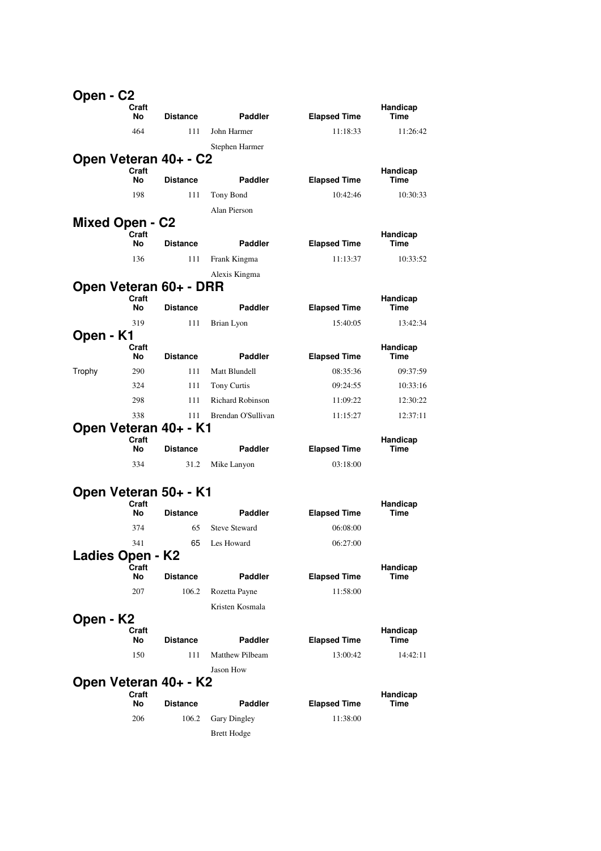| Open - C2              |             |                 |                         |                     |                  |
|------------------------|-------------|-----------------|-------------------------|---------------------|------------------|
|                        | Craft<br>No | <b>Distance</b> | <b>Paddler</b>          | <b>Elapsed Time</b> | Handicap<br>Time |
|                        | 464         | 111             | John Harmer             | 11:18:33            | 11:26:42         |
|                        |             |                 | Stephen Harmer          |                     |                  |
| Open Veteran 40+ - C2  |             |                 |                         |                     |                  |
|                        | Craft<br>No | <b>Distance</b> | <b>Paddler</b>          | <b>Elapsed Time</b> | Handicap<br>Time |
|                        | 198         | 111             | Tony Bond               | 10:42:46            | 10:30:33         |
|                        |             |                 | Alan Pierson            |                     |                  |
| <b>Mixed Open - C2</b> |             |                 |                         |                     |                  |
|                        | Craft<br>No | <b>Distance</b> | <b>Paddler</b>          | <b>Elapsed Time</b> | Handicap<br>Time |
|                        |             |                 |                         |                     |                  |
|                        | 136         | 111             | Frank Kingma            | 11:13:37            | 10:33:52         |
| Open Veteran 60+ - DRR |             |                 | Alexis Kingma           |                     |                  |
|                        | Craft       |                 |                         |                     | Handicap         |
|                        | No          | <b>Distance</b> | <b>Paddler</b>          | <b>Elapsed Time</b> | Time             |
|                        | 319         | 111             | Brian Lyon              | 15:40:05            | 13:42:34         |
| Open - K1              | Craft       |                 |                         |                     | Handicap         |
|                        | No          | <b>Distance</b> | <b>Paddler</b>          | <b>Elapsed Time</b> | Time             |
| Trophy                 | 290         | 111             | Matt Blundell           | 08:35:36            | 09:37:59         |
|                        | 324         | 111             | Tony Curtis             | 09:24:55            | 10:33:16         |
|                        | 298         | 111             | <b>Richard Robinson</b> | 11:09:22            | 12:30:22         |
|                        | 338         | 111             | Brendan O'Sullivan      | 11:15:27            | 12:37:11         |
| Open Veteran 40+ - K1  |             |                 |                         |                     |                  |
|                        | Craft<br>No | <b>Distance</b> | Paddler                 | <b>Elapsed Time</b> | Handicap<br>Time |
|                        | 334         | 31.2            | Mike Lanyon             | 03:18:00            |                  |
|                        |             |                 |                         |                     |                  |
| Open Veteran 50+ - K1  |             |                 |                         |                     |                  |
|                        | Craft<br>No | <b>Distance</b> | Paddler                 | <b>Elapsed Time</b> | Handicap<br>Time |
|                        | 374         | 65              | <b>Steve Steward</b>    | 06:08:00            |                  |
|                        | 341         | 65              | Les Howard              | 06:27:00            |                  |
| Ladies Open - K2       |             |                 |                         |                     |                  |
|                        | Craft<br>No | <b>Distance</b> | <b>Paddler</b>          | <b>Elapsed Time</b> | Handicap<br>Time |
|                        | 207         | 106.2           | Rozetta Payne           | 11:58:00            |                  |
|                        |             |                 | Kristen Kosmala         |                     |                  |
| Open - K2              |             |                 |                         |                     |                  |
|                        | Craft<br>No | <b>Distance</b> | Paddler                 | <b>Elapsed Time</b> | Handicap<br>Time |
|                        | 150         | 111             | <b>Matthew Pilbeam</b>  | 13:00:42            | 14:42:11         |
|                        |             |                 | Jason How               |                     |                  |
| Open Veteran 40+ - K2  |             |                 |                         |                     |                  |
|                        | Craft<br>No | <b>Distance</b> | Paddler                 | <b>Elapsed Time</b> | Handicap<br>Time |
|                        | 206         | 106.2           | Gary Dingley            | 11:38:00            |                  |
|                        |             |                 | <b>Brett Hodge</b>      |                     |                  |
|                        |             |                 |                         |                     |                  |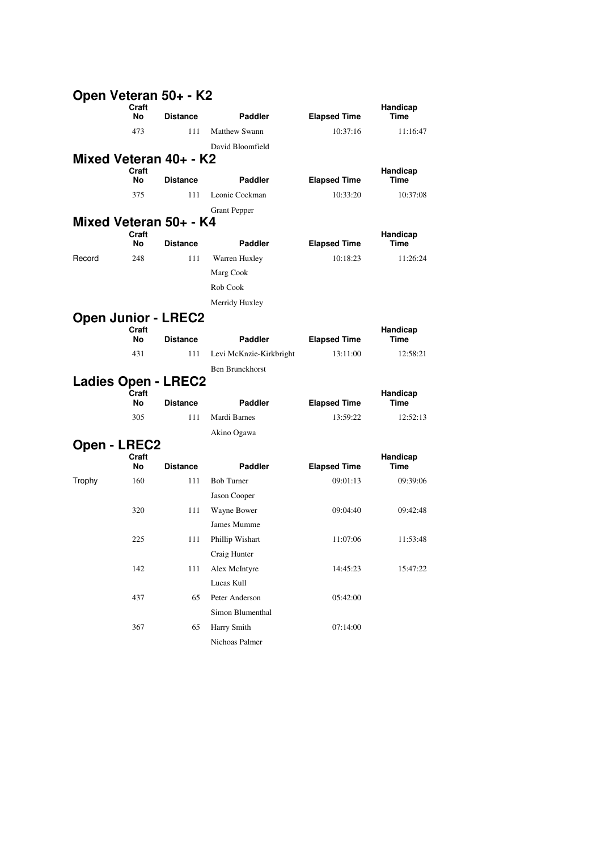|                     |             | Open Veteran 50+ - K2      |                         |                     |                         |
|---------------------|-------------|----------------------------|-------------------------|---------------------|-------------------------|
|                     | Craft<br>No | <b>Distance</b>            | Paddler                 | <b>Elapsed Time</b> | Handicap<br>Time        |
|                     | 473         | 111                        | <b>Matthew Swann</b>    | 10:37:16            | 11:16:47                |
|                     |             |                            | David Bloomfield        |                     |                         |
|                     |             | Mixed Veteran 40+ - K2     |                         |                     |                         |
|                     | Craft<br>No | <b>Distance</b>            | <b>Paddler</b>          | <b>Elapsed Time</b> | Handicap<br><b>Time</b> |
|                     | 375         | 111                        | Leonie Cockman          | 10:33:20            | 10:37:08                |
|                     |             |                            | <b>Grant Pepper</b>     |                     |                         |
|                     |             | Mixed Veteran 50+ - K4     |                         |                     |                         |
|                     | Craft<br>No | <b>Distance</b>            | <b>Paddler</b>          | <b>Elapsed Time</b> | Handicap<br>Time        |
| Record              | 248         | 111                        | Warren Huxley           | 10:18:23            | 11:26:24                |
|                     |             |                            | Marg Cook               |                     |                         |
|                     |             |                            | Rob Cook                |                     |                         |
|                     |             |                            | Merridy Huxley          |                     |                         |
|                     |             | <b>Open Junior - LREC2</b> |                         |                     |                         |
|                     | Craft<br>No | <b>Distance</b>            | <b>Paddler</b>          | <b>Elapsed Time</b> | Handicap<br>Time        |
|                     | 431         | 111                        | Levi McKnzie-Kirkbright | 13:11:00            | 12:58:21                |
|                     |             |                            | <b>Ben Brunckhorst</b>  |                     |                         |
|                     |             | <b>Ladies Open - LREC2</b> |                         |                     |                         |
|                     | Craft<br>No | <b>Distance</b>            | <b>Paddler</b>          | <b>Elapsed Time</b> | Handicap<br>Time        |
|                     | 305         | 111                        | Mardi Barnes            | 13:59:22            | 12:52:13                |
|                     |             |                            | Akino Ogawa             |                     |                         |
| <b>Open - LREC2</b> |             |                            |                         |                     |                         |
|                     | Craft       |                            |                         |                     | Handicap                |
|                     | No          | <b>Distance</b>            | Paddler                 | <b>Elapsed Time</b> | Time                    |
| Trophy              | 160         | 111                        | <b>Bob Turner</b>       | 09:01:13            | 09:39:06                |
|                     |             |                            | Jason Cooper            |                     |                         |
|                     | 320         | 111                        | Wayne Bower             | 09:04:40            | 09:42:48                |
|                     |             |                            | James Mumme             |                     |                         |
|                     | 225         | 111                        | Phillip Wishart         | 11:07:06            | 11:53:48                |
|                     |             |                            | Craig Hunter            |                     |                         |
|                     | 142         | 111                        | Alex McIntyre           | 14:45:23            | 15:47:22                |
|                     |             |                            | Lucas Kull              |                     |                         |
|                     | 437         | 65                         | Peter Anderson          | 05:42:00            |                         |
|                     |             |                            | Simon Blumenthal        |                     |                         |
|                     | 367         | 65                         | Harry Smith             | 07:14:00            |                         |
|                     |             |                            | Nichoas Palmer          |                     |                         |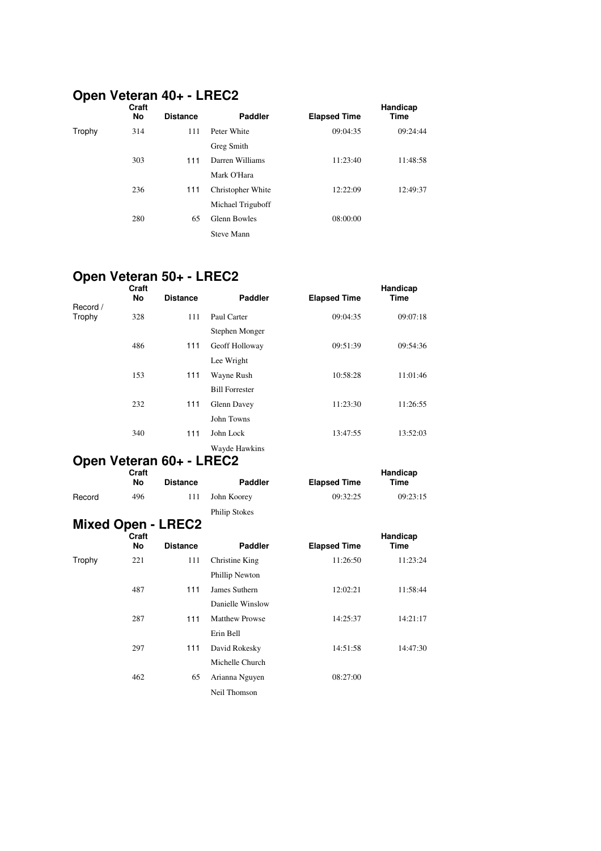#### **Open Veteran 40+ - LREC2**

|        | Open veteran for - Liteda<br>Craft |                 |                     |                     |          |
|--------|------------------------------------|-----------------|---------------------|---------------------|----------|
|        | No                                 | <b>Distance</b> | <b>Paddler</b>      | <b>Elapsed Time</b> | Time     |
| Trophy | 314                                | 111             | Peter White         | 09:04:35            | 09:24:44 |
|        |                                    |                 | Greg Smith          |                     |          |
|        | 303                                | 111             | Darren Williams     | 11:23:40            | 11:48:58 |
|        |                                    |                 | Mark O'Hara         |                     |          |
|        | 236                                | 111             | Christopher White   | 12:22:09            | 12:49:37 |
|        |                                    |                 | Michael Triguboff   |                     |          |
|        | 280                                | 65              | <b>Glenn Bowles</b> | 08:00:00            |          |
|        |                                    |                 | <b>Steve Mann</b>   |                     |          |

## **Open Veteran 50+ - LREC2**

|                    | Craft<br>No        | <b>Distance</b>           | <b>Paddler</b>        | <b>Elapsed Time</b> | Handicap<br><b>Time</b> |
|--------------------|--------------------|---------------------------|-----------------------|---------------------|-------------------------|
| Record /<br>Trophy | 328                | 111                       | Paul Carter           | 09:04:35            | 09:07:18                |
|                    |                    |                           | Stephen Monger        |                     |                         |
|                    | 486                | 111                       | Geoff Holloway        | 09:51:39            | 09:54:36                |
|                    |                    |                           | Lee Wright            |                     |                         |
|                    | 153                | 111                       | Wayne Rush            | 10:58:28            | 11:01:46                |
|                    |                    |                           | <b>Bill Forrester</b> |                     |                         |
|                    | 232                | 111                       | Glenn Davey           | 11:23:30            | 11:26:55                |
|                    |                    |                           | John Towns            |                     |                         |
|                    | 340                | 111                       | John Lock             | 13:47:55            | 13:52:03                |
|                    |                    |                           | Wayde Hawkins         |                     |                         |
|                    |                    | Open Veteran 60+ - LREC2  |                       |                     |                         |
|                    | Craft<br><b>No</b> | <b>Distance</b>           | <b>Paddler</b>        | <b>Elapsed Time</b> | Handicap<br><b>Time</b> |
| Record             | 496                | 111                       | John Koorey           | 09:32:25            | 09:23:15                |
|                    |                    |                           | <b>Philip Stokes</b>  |                     |                         |
|                    |                    | <b>Mixed Open - LREC2</b> |                       |                     |                         |
|                    | Craft<br>No        | <b>Distance</b>           | <b>Paddler</b>        | <b>Elapsed Time</b> | Handicap<br><b>Time</b> |
| Trophy             | 221                | 111                       | Christine King        | 11:26:50            | 11:23:24                |
|                    |                    |                           | Phillip Newton        |                     |                         |
|                    | 487                | 111                       | James Suthern         | 12:02:21            | 11:58:44                |
|                    |                    |                           | Danielle Winslow      |                     |                         |
|                    | 287                | 111                       | <b>Matthew Prowse</b> | 14:25:37            | 14:21:17                |
|                    |                    |                           | Erin Bell             |                     |                         |
|                    | 297                | 111                       | David Rokesky         | 14:51:58            | 14:47:30                |
|                    |                    |                           | Michelle Church       |                     |                         |
|                    | 462                | 65                        | Arianna Nguyen        | 08:27:00            |                         |
|                    |                    |                           | Neil Thomson          |                     |                         |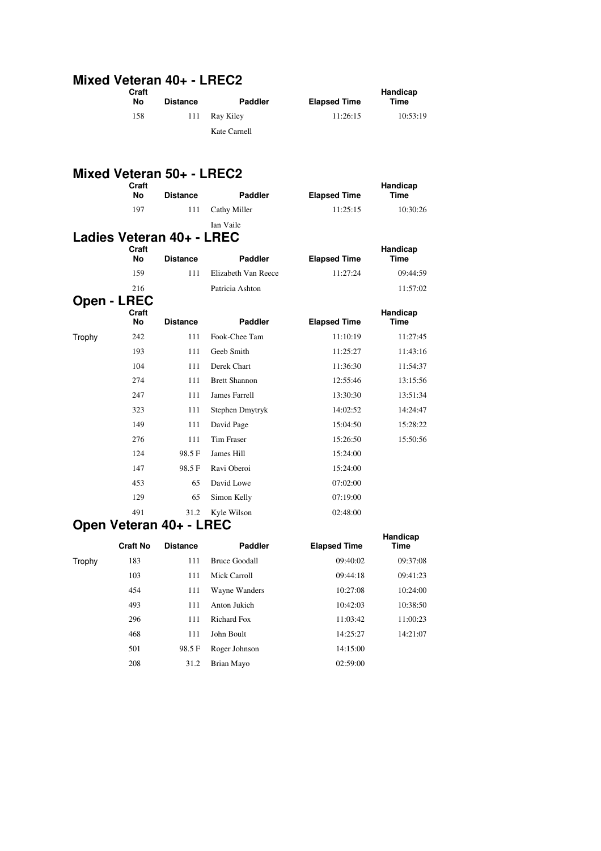## **Mixed Veteran 40+ - LREC2 Craft**

| No  | <b>Distance</b> | <b>Paddler</b> | <b>Elapsed Time</b> | Time     |
|-----|-----------------|----------------|---------------------|----------|
| 158 | 111             | Rav Kilev      | 11:26:15            | 10:53:19 |
|     |                 | Kate Carnell   |                     |          |

**Handicap** 

### **Mixed Veteran 50+ - LREC2**

|                    | Craft<br>No        | <b>Distance</b>           | Paddler              | <b>Elapsed Time</b> | Handicap<br><b>Time</b> |
|--------------------|--------------------|---------------------------|----------------------|---------------------|-------------------------|
|                    | 197                | 111                       | Cathy Miller         | 11:25:15            | 10:30:26                |
|                    |                    |                           | Ian Vaile            |                     |                         |
|                    |                    | Ladies Veteran 40+ - LREC |                      |                     |                         |
|                    | Craft<br><b>No</b> | <b>Distance</b>           | <b>Paddler</b>       | <b>Elapsed Time</b> | Handicap<br><b>Time</b> |
|                    | 159                | 111                       | Elizabeth Van Reece  | 11:27:24            | 09:44:59                |
|                    | 216                |                           | Patricia Ashton      |                     | 11:57:02                |
| <b>Open - LREC</b> |                    |                           |                      |                     |                         |
|                    | Craft<br>No        | <b>Distance</b>           | <b>Paddler</b>       | <b>Elapsed Time</b> | Handicap<br><b>Time</b> |
| Trophy             | 242                | 111                       | Fook-Chee Tam        | 11:10:19            | 11:27:45                |
|                    | 193                | 111                       | Geeb Smith           | 11:25:27            | 11:43:16                |
|                    | 104                | 111                       | Derek Chart          | 11:36:30            | 11:54:37                |
|                    | 274                | 111                       | <b>Brett Shannon</b> | 12:55:46            | 13:15:56                |
|                    | 247                | 111                       | <b>James Farrell</b> | 13:30:30            | 13:51:34                |
|                    | 323                | 111                       | Stephen Dmytryk      | 14:02:52            | 14:24:47                |
|                    | 149                | 111                       | David Page           | 15:04:50            | 15:28:22                |
|                    | 276                | 111                       | <b>Tim Fraser</b>    | 15:26:50            | 15:50:56                |
|                    | 124                | 98.5F                     | James Hill           | 15:24:00            |                         |
|                    | 147                | 98.5F                     | Ravi Oberoi          | 15:24:00            |                         |
|                    | 453                | 65                        | David Lowe           | 07:02:00            |                         |
|                    | 129                | 65                        | Simon Kelly          | 07:19:00            |                         |
|                    | 491                | 31.2                      | Kyle Wilson          | 02:48:00            |                         |

#### **Open Veteran 40+ - LREC**

|        |                 |                 |                      |                     | Handicap |
|--------|-----------------|-----------------|----------------------|---------------------|----------|
|        | <b>Craft No</b> | <b>Distance</b> | <b>Paddler</b>       | <b>Elapsed Time</b> | Time     |
| Trophy | 183             | 111             | <b>Bruce Goodall</b> | 09:40:02            | 09:37:08 |
|        | 103             | 111             | Mick Carroll         | 09:44:18            | 09:41:23 |
|        | 454             | 111             | Wayne Wanders        | 10:27:08            | 10:24:00 |
|        | 493             | 111             | Anton Jukich         | 10:42:03            | 10:38:50 |
|        | 296             | 111             | Richard Fox          | 11:03:42            | 11:00:23 |
|        | 468             | 111             | John Boult           | 14:25:27            | 14:21:07 |
|        | 501             | 98.5 F          | Roger Johnson        | 14:15:00            |          |
|        | 208             | 31.2            | Brian Mayo           | 02:59:00            |          |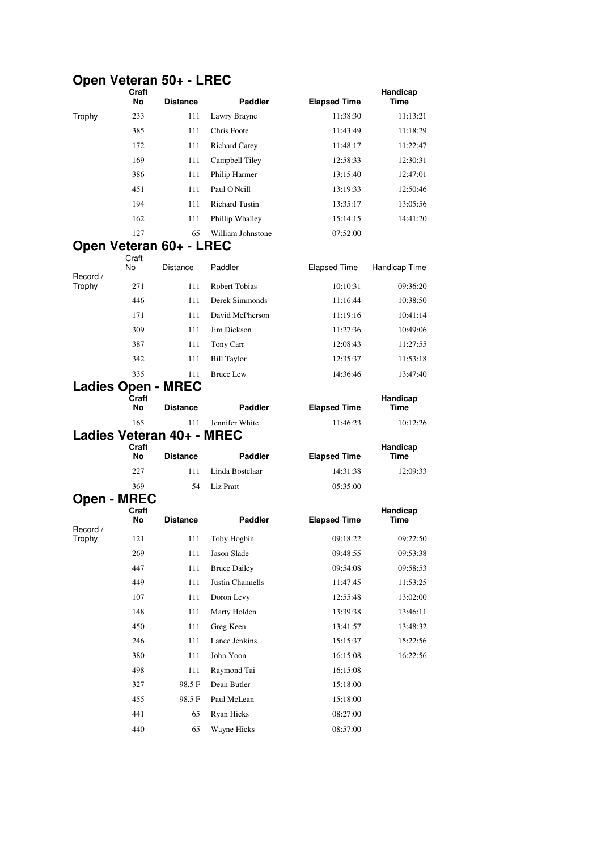## **Open Veteran 50+ - LREC**

|          | Craft<br>No        | <b>Distance</b>           | <b>Paddler</b>        | <b>Elapsed Time</b> | Handicap<br>Time |
|----------|--------------------|---------------------------|-----------------------|---------------------|------------------|
| Trophy   | 233                | 111                       | Lawry Brayne          | 11:38:30            | 11:13:21         |
|          | 385                | 111                       | Chris Foote           | 11:43:49            | 11:18:29         |
|          | 172                | 111                       | <b>Richard Carey</b>  | 11:48:17            | 11:22:47         |
|          | 169                | 111                       | Campbell Tiley        | 12:58:33            | 12:30:31         |
|          | 386                | 111                       | Philip Harmer         | 13:15:40            | 12:47:01         |
|          | 451                | 111                       | Paul O'Neill          | 13:19:33            | 12:50:46         |
|          | 194                | 111                       | <b>Richard Tustin</b> | 13:35:17            | 13:05:56         |
|          | 162                | 111                       | Phillip Whalley       | 15:14:15            | 14:41:20         |
|          | 127                | 65                        | William Johnstone     | 07:52:00            |                  |
|          |                    | Open Veteran 60+ - LREC   |                       |                     |                  |
| Record / | Craft<br>No        | Distance                  | Paddler               | <b>Elapsed Time</b> | Handicap Time    |
| Trophy   | 271                | 111                       | Robert Tobias         | 10:10:31            | 09:36:20         |
|          | 446                | 111                       | Derek Simmonds        | 11:16:44            | 10:38:50         |
|          | 171                | 111                       | David McPherson       | 11:19:16            | 10:41:14         |
|          | 309                | 111                       | Jim Dickson           | 11:27:36            | 10:49:06         |
|          | 387                | 111                       | Tony Carr             | 12:08:43            | 11:27:55         |
|          | 342                | 111                       | <b>Bill Taylor</b>    | 12:35:37            | 11:53:18         |
|          | 335                | 111                       | <b>Bruce Lew</b>      | 14:36:46            | 13:47:40         |
|          |                    | <b>Ladies Open - MREC</b> |                       |                     |                  |
|          | Craft<br>No        | <b>Distance</b>           | <b>Paddler</b>        | <b>Elapsed Time</b> | Handicap<br>Time |
|          | 165                | 111                       | Jennifer White        | 11:46:23            | 10:12:26         |
|          | Craft              | Ladies Veteran 40+ - MREC |                       |                     | Handicap         |
|          | No                 | <b>Distance</b>           | <b>Paddler</b>        | <b>Elapsed Time</b> | Time             |
|          | 227                | 111                       | Linda Bostelaar       | 14:31:38            | 12:09:33         |
|          | 369                | 54                        | Liz Pratt             | 05:35:00            |                  |
|          | <b>Open - MREC</b> |                           |                       |                     |                  |
| Record / | Craft<br>No        | <b>Distance</b>           | <b>Paddler</b>        | <b>Elapsed Time</b> | Handicap<br>Time |
| Trophy   | 121                | 111                       | Toby Hogbin           | 09:18:22            | 09:22:50         |
|          | 269                | 111                       | Jason Slade           | 09:48:55            | 09:53:38         |
|          | 447                | 111                       | <b>Bruce Dailey</b>   | 09:54:08            | 09:58:53         |
|          | 449                | 111                       | Justin Channells      | 11:47:45            | 11:53:25         |
|          | 107                | 111                       | Doron Levy            | 12:55:48            | 13:02:00         |
|          | 148                | 111                       | Marty Holden          | 13:39:38            | 13:46:11         |
|          | 450                | 111                       | Greg Keen             | 13:41:57            | 13:48:32         |
|          | 246                | 111                       | Lance Jenkins         | 15:15:37            | 15:22:56         |
|          | 380                | 111                       | John Yoon             | 16:15:08            | 16:22:56         |
|          | 498                | 111                       | Raymond Tai           | 16:15:08            |                  |
|          | 327                | 98.5 F                    | Dean Butler           | 15:18:00            |                  |
|          | 455                | 98.5F                     | Paul McLean           | 15:18:00            |                  |
|          | 441                | 65                        | Ryan Hicks            | 08:27:00            |                  |
|          | 440                | 65                        | Wayne Hicks           | 08:57:00            |                  |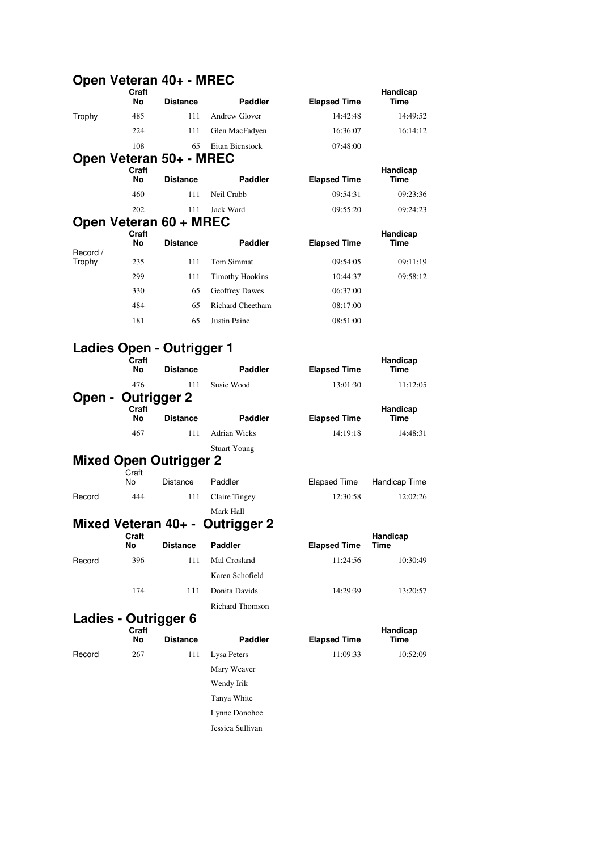#### **Open Veteran 40+ - MREC**

| ייטקט               | Craft              |                               |                         |                     | Handicap                |
|---------------------|--------------------|-------------------------------|-------------------------|---------------------|-------------------------|
|                     | No                 | <b>Distance</b>               | <b>Paddler</b>          | <b>Elapsed Time</b> | Time                    |
| Trophy              | 485                | 111                           | <b>Andrew Glover</b>    | 14:42:48            | 14:49:52                |
|                     | 224                | 111                           | Glen MacFadyen          | 16:36:07            | 16:14:12                |
|                     | 108                | 65                            | Eitan Bienstock         | 07:48:00            |                         |
|                     |                    | Open Veteran 50+ - MREC       |                         |                     |                         |
|                     | Craft<br>No        | <b>Distance</b>               | <b>Paddler</b>          | <b>Elapsed Time</b> | Handicap<br><b>Time</b> |
|                     | 460                | 111                           | Neil Crabb              | 09:54:31            | 09:23:36                |
|                     | 202                | 111                           | Jack Ward               | 09:55:20            | 09:24:23                |
|                     |                    | Open Veteran 60 + MREC        |                         |                     |                         |
| Record /            | Craft<br><b>No</b> | <b>Distance</b>               | <b>Paddler</b>          | <b>Elapsed Time</b> | Handicap<br><b>Time</b> |
| Trophy              | 235                | 111                           | <b>Tom Simmat</b>       | 09:54:05            | 09:11:19                |
|                     | 299                | 111                           | <b>Timothy Hookins</b>  | 10:44:37            | 09:58:12                |
|                     | 330                | 65                            | <b>Geoffrey Dawes</b>   | 06:37:00            |                         |
|                     | 484                | 65                            | <b>Richard Cheetham</b> | 08:17:00            |                         |
|                     | 181                | 65                            | <b>Justin Paine</b>     | 08:51:00            |                         |
|                     |                    | Ladies Open - Outrigger 1     |                         |                     |                         |
|                     | Craft<br>No        | <b>Distance</b>               | <b>Paddler</b>          | <b>Elapsed Time</b> | Handicap<br><b>Time</b> |
|                     | 476                | 111                           | Susie Wood              | 13:01:30            | 11:12:05                |
| Open -              |                    | Outrigger 2                   |                         |                     |                         |
|                     | Craft<br>No        | <b>Distance</b>               | <b>Paddler</b>          | <b>Elapsed Time</b> | Handicap<br>Time        |
|                     | 467                | 111                           | <b>Adrian Wicks</b>     | 14:19:18            | 14:48:31                |
|                     |                    |                               | <b>Stuart Young</b>     |                     |                         |
|                     |                    | <b>Mixed Open Outrigger 2</b> |                         |                     |                         |
|                     | Craft<br>Nο        | Distance                      | Paddler                 | <b>Elapsed Time</b> | Handicap Time           |
| Record              | 444                | 111                           | <b>Claire Tingey</b>    | 12:30:58            | 12:02:26                |
|                     |                    |                               | Mark Hall               |                     |                         |
| Mixed Veteran 40+ - |                    |                               | <b>Outrigger 2</b>      |                     |                         |
|                     | Craft<br>No        | <b>Distance</b>               | <b>Paddler</b>          | <b>Elapsed Time</b> | Handicap<br><b>Time</b> |

Record 396 111 Mal Crosland 11:24:56 10:30:49 Karen Schofield Richard Thomson

### **Ladies - Outrigger 6 Craft**

| Paddler          |
|------------------|
| Lysa Peters      |
| Mary Weaver      |
| Wendy Irik       |
| Tanya White      |
| Lynne Donohoe    |
| Jessica Sullivan |

| וו גוי<br>lo. | <b>Distance</b> | Paddler         | <b>Elapsed Time</b> | <b>Hall</b> uluap<br>Time |
|---------------|-----------------|-----------------|---------------------|---------------------------|
| 396           | 111             | Mal Crosland    | 11:24:56            | 10:30:49                  |
|               |                 | Karen Schofield |                     |                           |
| 174           | 111             | Donita Davids   | 14:29:39            | 13:20:57                  |
|               |                 |                 |                     |                           |

|        | Craft<br>No | <b>Distance</b> | <b>Paddler</b> | <b>Elapsed Time</b> | Handicap<br>Time |
|--------|-------------|-----------------|----------------|---------------------|------------------|
| Record | 267         |                 | Lysa Peters    | 11:09:33            | 10:52:09         |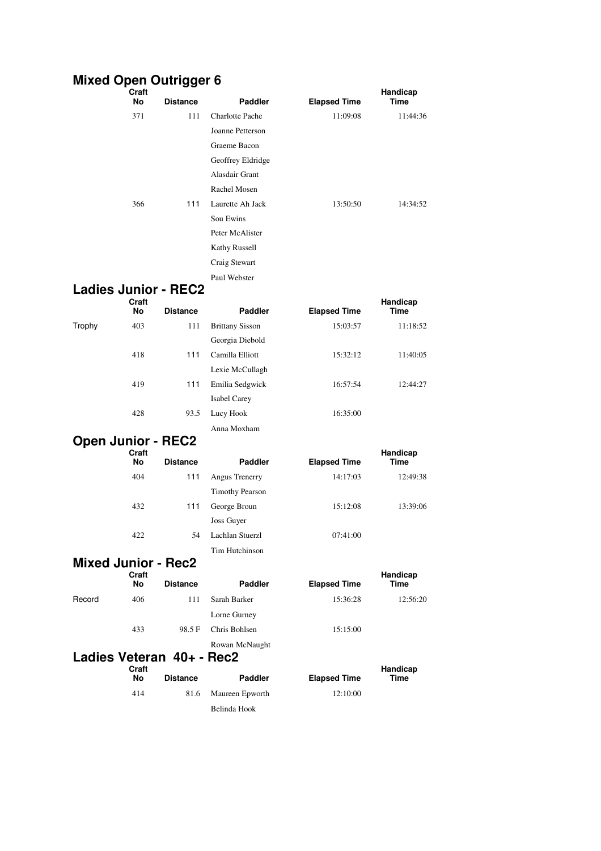## **Mixed Open Outrigger 6**

|        | Craft<br>No | <b>Distance</b>             | Paddler                | <b>Elapsed Time</b> | Handicap<br>Time |
|--------|-------------|-----------------------------|------------------------|---------------------|------------------|
|        | 371         | 111                         | <b>Charlotte Pache</b> | 11:09:08            | 11:44:36         |
|        |             |                             | Joanne Petterson       |                     |                  |
|        |             |                             | Graeme Bacon           |                     |                  |
|        |             |                             | Geoffrey Eldridge      |                     |                  |
|        |             |                             | Alasdair Grant         |                     |                  |
|        |             |                             | Rachel Mosen           |                     |                  |
|        | 366         | 111                         | Laurette Ah Jack       | 13:50:50            | 14:34:52         |
|        |             |                             | Sou Ewins              |                     |                  |
|        |             |                             | Peter McAlister        |                     |                  |
|        |             |                             | Kathy Russell          |                     |                  |
|        |             |                             | Craig Stewart          |                     |                  |
|        |             |                             | Paul Webster           |                     |                  |
|        |             | <b>Ladies Junior - REC2</b> |                        |                     |                  |
|        | Craft<br>No | <b>Distance</b>             | <b>Paddler</b>         | <b>Elapsed Time</b> | Handicap<br>Time |
| Trophy | 403         | 111                         | <b>Brittany Sisson</b> | 15:03:57            | 11:18:52         |
|        |             |                             | Georgia Diebold        |                     |                  |
|        | 418         | 111                         | Camilla Elliott        | 15:32:12            | 11:40:05         |
|        |             |                             | Lexie McCullagh        |                     |                  |
|        | 419         | 111                         | Emilia Sedgwick        | 16:57:54            | 12:44:27         |
|        |             |                             | <b>Isabel Carey</b>    |                     |                  |
|        | 428         | 93.5                        | Lucy Hook              | 16:35:00            |                  |
|        |             |                             | Anna Moxham            |                     |                  |
|        |             | <b>Open Junior - REC2</b>   |                        |                     |                  |
|        | Craft<br>No | <b>Distance</b>             | <b>Paddler</b>         | <b>Elapsed Time</b> | Handicap<br>Time |
|        | 404         | 111                         | Angus Trenerry         | 14:17:03            | 12:49:38         |
|        |             |                             | <b>Timothy Pearson</b> |                     |                  |
|        | 432         | 111                         | George Broun           | 15:12:08            | 13:39:06         |
|        |             |                             | Joss Guyer             |                     |                  |
|        | 422         | 54                          | Lachlan Stuerzl        | 07:41:00            |                  |
|        |             |                             | Tim Hutchinson         |                     |                  |
|        |             | <b>Mixed Junior - Rec2</b>  |                        |                     |                  |
|        | Craft       |                             |                        |                     | Handicap         |
|        | No          | <b>Distance</b>             | <b>Paddler</b>         | <b>Elapsed Time</b> | Time             |
| Record | 406         | 111                         | Sarah Barker           | 15:36:28            | 12:56:20         |
|        |             |                             | Lorne Gurney           |                     |                  |
|        | 433         | 98.5F                       | Chris Bohlsen          | 15:15:00            |                  |
|        |             | Ladies Veteran 40+ - Rec2   | Rowan McNaught         |                     |                  |
|        | Craft       |                             |                        |                     | Handicap         |
|        | No          | <b>Distance</b>             | <b>Paddler</b>         | <b>Elapsed Time</b> | Time             |
|        | 414         | 81.6                        | Maureen Epworth        | 12:10:00            |                  |
|        |             |                             | Belinda Hook           |                     |                  |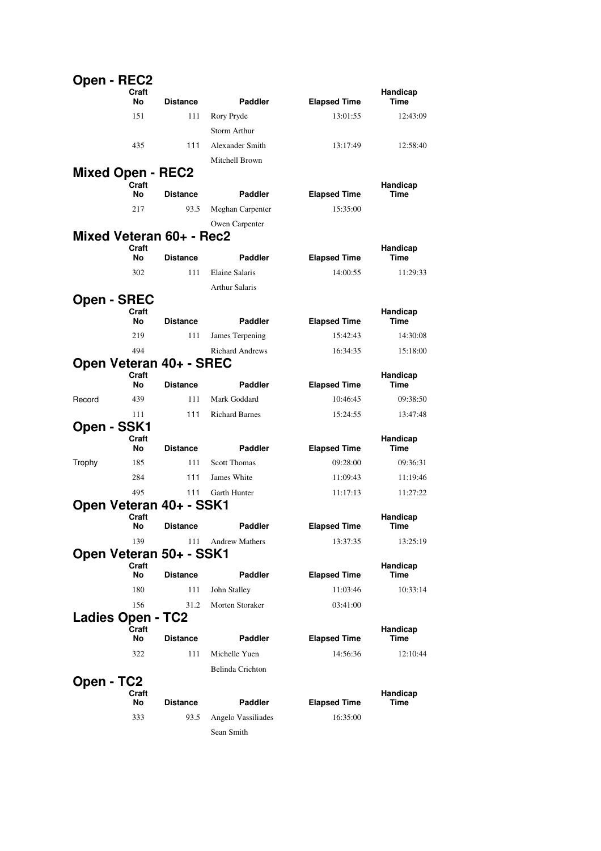| Open - REC2              |             |                          |                        |                     |                  |
|--------------------------|-------------|--------------------------|------------------------|---------------------|------------------|
|                          | Craft<br>No | <b>Distance</b>          | <b>Paddler</b>         | <b>Elapsed Time</b> | Handicap<br>Time |
|                          | 151         | 111                      | Rory Pryde             | 13:01:55            | 12:43:09         |
|                          |             |                          | Storm Arthur           |                     |                  |
|                          | 435         | 111                      | Alexander Smith        | 13:17:49            | 12:58:40         |
|                          |             |                          | Mitchell Brown         |                     |                  |
| <b>Mixed Open - REC2</b> |             |                          |                        |                     |                  |
|                          | Craft<br>No | <b>Distance</b>          | Paddler                | <b>Elapsed Time</b> | Handicap<br>Time |
|                          | 217         | 93.5                     | Meghan Carpenter       | 15:35:00            |                  |
|                          |             |                          | Owen Carpenter         |                     |                  |
|                          |             | Mixed Veteran 60+ - Rec2 |                        |                     |                  |
|                          | Craft       |                          |                        |                     | Handicap         |
|                          | No          | <b>Distance</b>          | <b>Paddler</b>         | <b>Elapsed Time</b> | Time             |
|                          | 302         | 111                      | Elaine Salaris         | 14:00:55            | 11:29:33         |
|                          |             |                          | <b>Arthur Salaris</b>  |                     |                  |
| <b>Open - SREC</b>       | Craft<br>No | <b>Distance</b>          | Paddler                | <b>Elapsed Time</b> | Handicap<br>Time |
|                          | 219         | 111                      | James Terpening        | 15:42:43            | 14:30:08         |
|                          | 494         |                          | <b>Richard Andrews</b> | 16:34:35            | 15:18:00         |
|                          |             | Open Veteran 40+ - SREC  |                        |                     |                  |
|                          | Craft<br>No | <b>Distance</b>          | Paddler                | <b>Elapsed Time</b> | Handicap<br>Time |
| Record                   | 439         | 111                      | Mark Goddard           | 10:46:45            | 09:38:50         |
|                          | 111         | 111                      | <b>Richard Barnes</b>  | 15:24:55            | 13:47:48         |
| Open - SSK1              |             |                          |                        |                     |                  |
|                          | Craft<br>No | <b>Distance</b>          | Paddler                | <b>Elapsed Time</b> | Handicap<br>Time |
| Trophy                   | 185         | 111                      | <b>Scott Thomas</b>    | 09:28:00            | 09:36:31         |
|                          | 284         | 111                      | James White            | 11:09:43            | 11:19:46         |
|                          | 495         | 111                      | Garth Hunter           | 11:17:13            | 11:27:22         |
|                          |             | Open Veteran 40+ - SSK1  |                        |                     |                  |
|                          | Craft<br>No | <b>Distance</b>          | Paddler                | <b>Elapsed Time</b> | Handicap<br>Time |
|                          | 139         | 111                      | <b>Andrew Mathers</b>  | 13:37:35            | 13:25:19         |
|                          |             | Open Veteran 50+ - SSK1  |                        |                     |                  |
|                          | Craft<br>No | <b>Distance</b>          | Paddler                | <b>Elapsed Time</b> | Handicap<br>Time |
|                          | 180         | 111                      | John Stalley           | 11:03:46            | 10:33:14         |
|                          | 156         | 31.2                     | Morten Storaker        | 03:41:00            |                  |
| <b>Ladies Open - TC2</b> |             |                          |                        |                     |                  |
|                          | Craft<br>No | <b>Distance</b>          | Paddler                | <b>Elapsed Time</b> | Handicap<br>Time |
|                          | 322         | 111                      | Michelle Yuen          | 14:56:36            | 12:10:44         |
|                          |             |                          | Belinda Crichton       |                     |                  |
| Open - TC2               |             |                          |                        |                     |                  |
|                          | Craft<br>No | <b>Distance</b>          | Paddler                | <b>Elapsed Time</b> | Handicap<br>Time |
|                          | 333         | 93.5                     | Angelo Vassiliades     | 16:35:00            |                  |
|                          |             |                          |                        |                     |                  |
|                          |             |                          | Sean Smith             |                     |                  |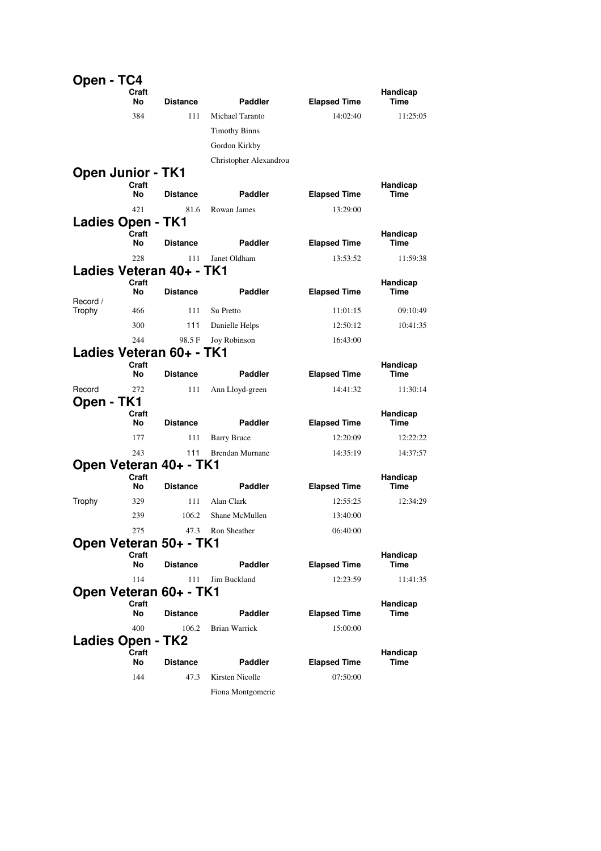| Open - TC4               |             |                          |                        |                     |                         |
|--------------------------|-------------|--------------------------|------------------------|---------------------|-------------------------|
|                          | Craft<br>No | <b>Distance</b>          | <b>Paddler</b>         | <b>Elapsed Time</b> | Handicap<br>Time        |
|                          | 384         | 111                      | Michael Taranto        | 14:02:40            | 11:25:05                |
|                          |             |                          | <b>Timothy Binns</b>   |                     |                         |
|                          |             |                          | Gordon Kirkby          |                     |                         |
|                          |             |                          | Christopher Alexandrou |                     |                         |
| <b>Open Junior - TK1</b> | Craft       |                          |                        |                     | Handicap                |
|                          | No          | <b>Distance</b>          | <b>Paddler</b>         | <b>Elapsed Time</b> | Time                    |
|                          | 421         | 81.6                     | Rowan James            | 13:29:00            |                         |
| <b>Ladies Open - TK1</b> |             |                          |                        |                     |                         |
|                          | Craft<br>No | <b>Distance</b>          | <b>Paddler</b>         | <b>Elapsed Time</b> | Handicap<br>Time        |
|                          | 228         | 111                      | Janet Oldham           | 13:53:52            | 11:59:38                |
|                          |             | Ladies Veteran 40+ - TK1 |                        |                     |                         |
|                          | Craft<br>No | <b>Distance</b>          | <b>Paddler</b>         | <b>Elapsed Time</b> | Handicap<br>Time        |
| Record /<br>Trophy       | 466         | 111                      | Su Pretto              | 11:01:15            | 09:10:49                |
|                          | 300         | 111                      | Danielle Helps         | 12:50:12            | 10:41:35                |
|                          | 244         | 98.5 F                   | Joy Robinson           | 16:43:00            |                         |
|                          |             | Ladies Veteran 60+ - TK1 |                        |                     |                         |
|                          | Craft<br>No | <b>Distance</b>          | <b>Paddler</b>         | <b>Elapsed Time</b> | Handicap<br>Time        |
| Record                   | 272         | 111                      | Ann Lloyd-green        | 14:41:32            | 11:30:14                |
| Open - TK1               |             |                          |                        |                     |                         |
|                          | Craft<br>No | <b>Distance</b>          | <b>Paddler</b>         | <b>Elapsed Time</b> | Handicap<br>Time        |
|                          | 177         | 111                      | <b>Barry Bruce</b>     | 12:20:09            | 12:22:22                |
|                          | 243         | 111                      | <b>Brendan Murnane</b> | 14:35:19            | 14:37:57                |
|                          |             | Open Veteran 40+ - TK1   |                        |                     |                         |
|                          | Craft<br>No | <b>Distance</b>          | Paddler                | <b>Elapsed Time</b> | Handicap<br>Time        |
| Trophy                   | 329         | 111                      | Alan Clark             | 12:55:25            | 12:34:29                |
|                          | 239         | 106.2                    | Shane McMullen         | 13:40:00            |                         |
|                          | 275         | 47.3                     | Ron Sheather           | 06:40:00            |                         |
|                          |             | Open Veteran 50+ - TK1   |                        |                     |                         |
|                          | Craft<br>No | <b>Distance</b>          | Paddler                | <b>Elapsed Time</b> | Handicap<br><b>Time</b> |
|                          | 114         | 111                      | Jim Buckland           | 12:23:59            | 11:41:35                |
|                          |             | Open Veteran 60+ - TK1   |                        |                     |                         |
|                          | Craft<br>No | <b>Distance</b>          | <b>Paddler</b>         | <b>Elapsed Time</b> | Handicap<br>Time        |
|                          | 400         | 106.2                    | Brian Warrick          | 15:00:00            |                         |
| Ladies Open - TK2        |             |                          |                        |                     |                         |
|                          | Craft<br>No | <b>Distance</b>          | Paddler                | <b>Elapsed Time</b> | Handicap<br>Time        |
|                          | 144         | 47.3                     | Kirsten Nicolle        | 07:50:00            |                         |
|                          |             |                          | Fiona Montgomerie      |                     |                         |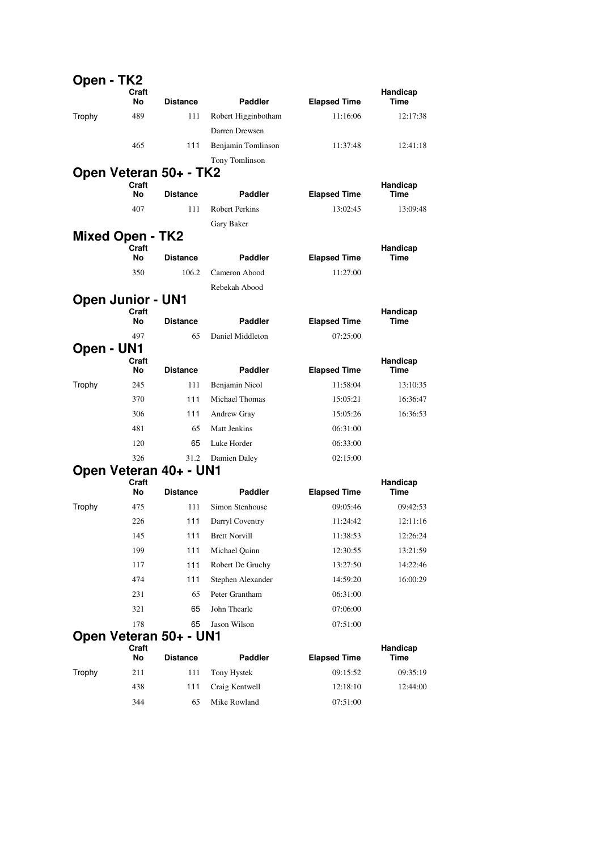| Open - TK2               |             |                        |                       |                     |                  |
|--------------------------|-------------|------------------------|-----------------------|---------------------|------------------|
|                          | Craft<br>No | <b>Distance</b>        | Paddler               | <b>Elapsed Time</b> | Handicap<br>Time |
| Trophy                   | 489         | 111                    | Robert Higginbotham   | 11:16:06            | 12:17:38         |
|                          |             |                        | Darren Drewsen        |                     |                  |
|                          | 465         | 111                    | Benjamin Tomlinson    | 11:37:48            | 12:41:18         |
|                          |             |                        | Tony Tomlinson        |                     |                  |
|                          |             | Open Veteran 50+ - TK2 |                       |                     |                  |
|                          | Craft<br>No | <b>Distance</b>        | <b>Paddler</b>        | <b>Elapsed Time</b> | Handicap<br>Time |
|                          | 407         | 111                    | <b>Robert Perkins</b> | 13:02:45            | 13:09:48         |
|                          |             |                        | Gary Baker            |                     |                  |
| <b>Mixed Open - TK2</b>  |             |                        |                       |                     |                  |
|                          | Craft       |                        |                       |                     | Handicap         |
|                          | No          | <b>Distance</b>        | <b>Paddler</b>        | <b>Elapsed Time</b> | Time             |
|                          | 350         | 106.2                  | Cameron Abood         | 11:27:00            |                  |
| <b>Open Junior - UN1</b> |             |                        | Rebekah Abood         |                     |                  |
|                          | Craft       |                        |                       |                     | Handicap         |
|                          | No          | <b>Distance</b>        | <b>Paddler</b>        | <b>Elapsed Time</b> | Time             |
|                          | 497         | 65                     | Daniel Middleton      | 07:25:00            |                  |
| Open - UN1               |             |                        |                       |                     |                  |
|                          | Craft<br>No | <b>Distance</b>        | <b>Paddler</b>        | <b>Elapsed Time</b> | Handicap<br>Time |
| Trophy                   | 245         | 111                    | Benjamin Nicol        | 11:58:04            | 13:10:35         |
|                          | 370         | 111                    | <b>Michael Thomas</b> | 15:05:21            | 16:36:47         |
|                          | 306         | 111                    | Andrew Gray           | 15:05:26            | 16:36:53         |
|                          | 481         | 65                     | Matt Jenkins          | 06:31:00            |                  |
|                          | 120         | 65                     | Luke Horder           | 06:33:00            |                  |
|                          | 326         | 31.2                   | Damien Daley          | 02:15:00            |                  |
|                          |             | Open Veteran 40+ - UN1 |                       |                     |                  |
|                          | Craft<br>No | <b>Distance</b>        | Paddler               | <b>Elapsed Time</b> | Handicap<br>Time |
| Trophy                   | 475         | 111                    | Simon Stenhouse       | 09:05:46            | 09:42:53         |
|                          | 226         | 111                    | Darryl Coventry       | 11:24:42            | 12:11:16         |
|                          | 145         | 111                    | <b>Brett Norvill</b>  | 11:38:53            | 12:26:24         |
|                          | 199         | 111                    | Michael Quinn         | 12:30:55            | 13:21:59         |
|                          | 117         | 111                    | Robert De Gruchy      | 13:27:50            | 14:22:46         |
|                          | 474         | 111                    | Stephen Alexander     | 14:59:20            | 16:00:29         |
|                          | 231         | 65                     | Peter Grantham        | 06:31:00            |                  |
|                          | 321         | 65                     | John Thearle          | 07:06:00            |                  |
|                          | 178         | 65                     | Jason Wilson          | 07:51:00            |                  |
|                          |             | Open Veteran 50+ - UN1 |                       |                     |                  |
|                          | Craft<br>No | <b>Distance</b>        | Paddler               | <b>Elapsed Time</b> | Handicap<br>Time |
| Trophy                   | 211         | 111                    | Tony Hystek           | 09:15:52            | 09:35:19         |
|                          | 438         | 111                    | Craig Kentwell        | 12:18:10            | 12:44:00         |
|                          | 344         | 65                     | Mike Rowland          | 07:51:00            |                  |
|                          |             |                        |                       |                     |                  |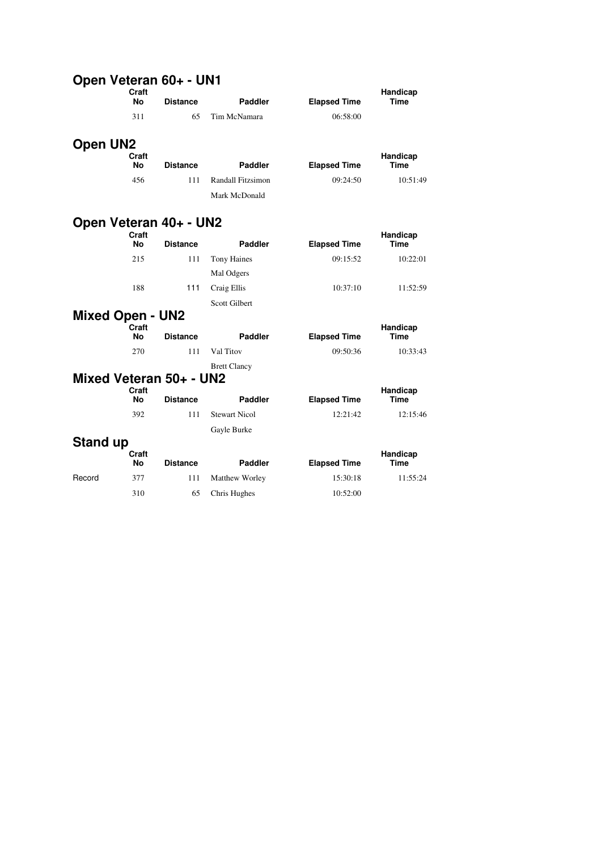#### **Open Veteran 60+ - UN1**

|                         | Craft<br><b>No</b> | <b>Distance</b>         | <b>Paddler</b>           | <b>Elapsed Time</b> | Handicap<br><b>Time</b> |
|-------------------------|--------------------|-------------------------|--------------------------|---------------------|-------------------------|
|                         | 311                | 65                      | Tim McNamara             | 06:58:00            |                         |
| <b>Open UN2</b>         | Craft<br><b>No</b> | <b>Distance</b>         | <b>Paddler</b>           | <b>Elapsed Time</b> | Handicap<br>Time        |
|                         | 456                | 111                     | <b>Randall Fitzsimon</b> | 09:24:50            | 10:51:49                |
|                         |                    |                         | Mark McDonald            |                     |                         |
|                         | Craft              | Open Veteran 40+ - UN2  |                          |                     | Handicap                |
|                         | <b>No</b>          | <b>Distance</b>         | <b>Paddler</b>           | <b>Elapsed Time</b> | <b>Time</b>             |
|                         | 215                | 111                     | <b>Tony Haines</b>       | 09:15:52            | 10:22:01                |
|                         |                    |                         | Mal Odgers               |                     |                         |
|                         | 188                | 111                     | Craig Ellis              | 10:37:10            | 11:52:59                |
|                         |                    |                         | Scott Gilbert            |                     |                         |
| <b>Mixed Open - UN2</b> | Craft              |                         |                          |                     | Handicap                |
|                         | <b>No</b>          | <b>Distance</b>         | <b>Paddler</b>           | <b>Elapsed Time</b> | <b>Time</b>             |
|                         | 270                | 111                     | Val Titov                | 09:50:36            | 10:33:43                |
|                         |                    |                         | <b>Brett Clancy</b>      |                     |                         |
|                         |                    | Mixed Veteran 50+ - UN2 |                          |                     |                         |
|                         | Craft<br>No        | <b>Distance</b>         | Paddler                  | <b>Elapsed Time</b> | Handicap<br><b>Time</b> |
|                         | 392                | 111                     | <b>Stewart Nicol</b>     | 12:21:42            | 12:15:46                |
|                         |                    |                         | Gayle Burke              |                     |                         |
| <b>Stand up</b>         |                    |                         |                          |                     |                         |
|                         | Craft<br>Nο        | <b>Distance</b>         | <b>Paddler</b>           | <b>Elapsed Time</b> | Handicap<br>Time        |
| Record                  | 377                | 111                     | Matthew Worley           | 15:30:18            | 11:55:24                |
|                         | 310                | 65                      | Chris Hughes             | 10:52:00            |                         |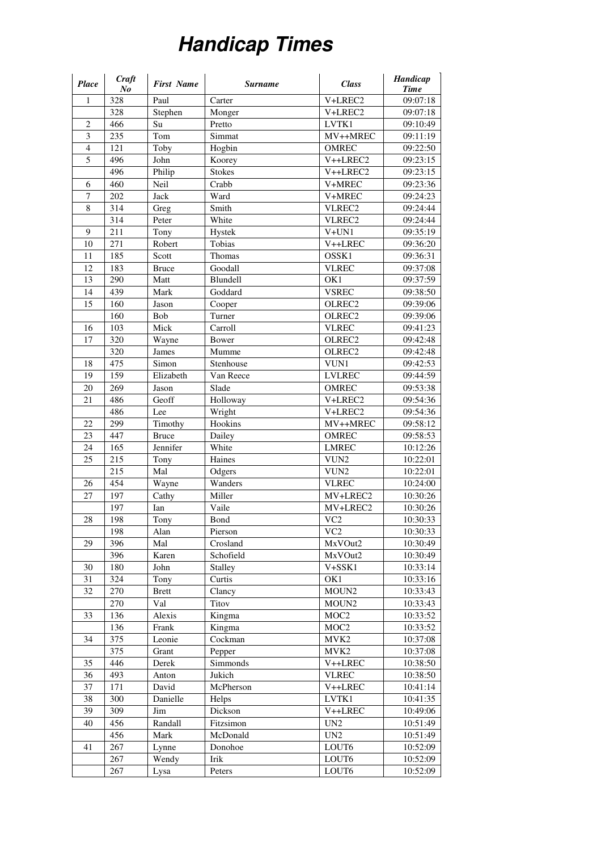## **Handicap Times**

| Place          | Craft<br>N <sub>o</sub> | <b>First Name</b> | <b>Surname</b> | <b>Class</b>       | Handicap<br><b>Time</b> |
|----------------|-------------------------|-------------------|----------------|--------------------|-------------------------|
| $\mathbf{1}$   | 328                     | Paul              | Carter         | V+LREC2            | 09:07:18                |
|                | 328                     | Stephen           | Monger         | V+LREC2            | 09:07:18                |
| $\overline{2}$ | 466                     | Su                | Pretto         | LVTK1              | 09:10:49                |
| $\mathfrak{Z}$ | 235                     | Tom               | Simmat         | MV++MREC           | 09:11:19                |
| $\overline{4}$ | $\overline{121}$        | Toby              | Hogbin         | <b>OMREC</b>       | 09:22:50                |
| $\overline{5}$ | 496                     | John              | Koorey         | V++LREC2           | 09:23:15                |
|                | 496                     | Philip            | <b>Stokes</b>  | V++LREC2           | 09:23:15                |
| 6              | 460                     | Neil              | Crabb          | V+MREC             | 09:23:36                |
| 7              | 202                     | Jack              | Ward           | V+MREC             | 09:24:23                |
| 8              | 314                     | Greg              | Smith          | VLREC2             | 09:24:44                |
|                | 314                     | Peter             | White          | VLREC <sub>2</sub> | 09:24:44                |
| 9              | 211                     | Tony              | Hystek         | $V+UN1$            | 09:35:19                |
| 10             | 271                     | Robert            | Tobias         | V++LREC            | 09:36:20                |
| 11             | 185                     | Scott             | Thomas         | OSSK1              | 09:36:31                |
| 12             | 183                     | <b>Bruce</b>      | Goodall        | <b>VLREC</b>       | 09:37:08                |
| 13             | 290                     | Matt              | Blundell       | OK1                | 09:37:59                |
| 14             | 439                     | Mark              | Goddard        | <b>VSREC</b>       | 09:38:50                |
| 15             | 160                     | Jason             | Cooper         | OLREC <sub>2</sub> | 09:39:06                |
|                | 160                     | Bob               | Turner         | OLREC <sub>2</sub> | 09:39:06                |
| 16             | 103                     | Mick              | Carroll        | <b>VLREC</b>       | 09:41:23                |
| 17             | 320                     | Wayne             | Bower          | OLREC <sub>2</sub> | 09:42:48                |
|                | 320                     | James             | Mumme          | OLREC <sub>2</sub> | 09:42:48                |
| 18             | 475                     | Simon             | Stenhouse      | VUN1               | 09:42:53                |
| 19             | 159                     | Elizabeth         | Van Reece      | <b>LVLREC</b>      | 09:44:59                |
| 20             | 269                     | Jason             | Slade          | <b>OMREC</b>       | 09:53:38                |
| 21             | 486                     | Geoff             | Holloway       | V+LREC2            | 09:54:36                |
|                | 486                     | Lee               | Wright         | V+LREC2            | 09:54:36                |
| 22             | 299                     | Timothy           | Hookins        | MV++MREC           | 09:58:12                |
| 23             | 447                     | <b>Bruce</b>      | Dailey         | <b>OMREC</b>       | 09:58:53                |
| 24             | 165                     | Jennifer          | White          | <b>LMREC</b>       | 10:12:26                |
| 25             | 215                     | Tony              | Haines         | VUN <sub>2</sub>   | 10:22:01                |
|                | 215                     | Mal               | Odgers         | VUN <sub>2</sub>   | 10:22:01                |
| 26             | 454                     | Wayne             | Wanders        | <b>VLREC</b>       | 10:24:00                |
| 27             | 197                     | Cathy             | Miller         | MV+LREC2           | 10:30:26                |
|                | 197                     | Ian               | Vaile          | MV+LREC2           | 10:30:26                |
| 28             | 198                     | Tony              | Bond           | VC2                | 10:30:33                |
|                | 198                     | Alan              | Pierson        | VC <sub>2</sub>    | 10:30:33                |
| 29             | 396                     | Mal               | Crosland       | MxVOut2            | 10:30:49                |
|                | 396                     | Karen             | Schofield      | MxVOut2            | 10:30:49                |
| 30             | 180                     | John              | Stalley        | V+SSK1             | 10:33:14                |
| 31             | 324                     | Tony              | Curtis         | OK1                | 10:33:16                |
| 32             | 270                     | <b>Brett</b>      | Clancy         | MOUN2              | 10:33:43                |
|                | 270                     | Val               | Titov          | MOUN2              | 10:33:43                |
| 33             | 136                     | Alexis            | Kingma         | MOC <sub>2</sub>   | 10:33:52                |
|                | 136                     | Frank             | Kingma         | MOC <sub>2</sub>   | 10:33:52                |
| 34             | 375                     | Leonie            | Cockman        | MVK2               | 10:37:08                |
|                | 375                     | Grant             | Pepper         | MVK <sub>2</sub>   | 10:37:08                |
| 35             | 446                     | Derek             | Simmonds       | V++LREC            | 10:38:50                |
| 36             | 493                     | Anton             | Jukich         | <b>VLREC</b>       | 10:38:50                |
| 37             | 171                     | David             | McPherson      | V++LREC            | 10:41:14                |
| 38             | 300                     | Danielle          | Helps          | LVTK1              | 10:41:35                |
| 39             | 309                     | Jim               | Dickson        | V++LREC            | 10:49:06                |
| 40             | 456                     | Randall           | Fitzsimon      | $UN2$              | 10:51:49                |
|                | 456                     | Mark              | McDonald       | UN <sub>2</sub>    | 10:51:49                |
| 41             | 267                     | Lynne             | Donohoe        | LOUT6              | 10:52:09                |
|                | 267                     | Wendy             | Irik           | LOUT6              | 10:52:09                |
|                | 267                     | Lysa              | Peters         | LOUT6              | 10:52:09                |
|                |                         |                   |                |                    |                         |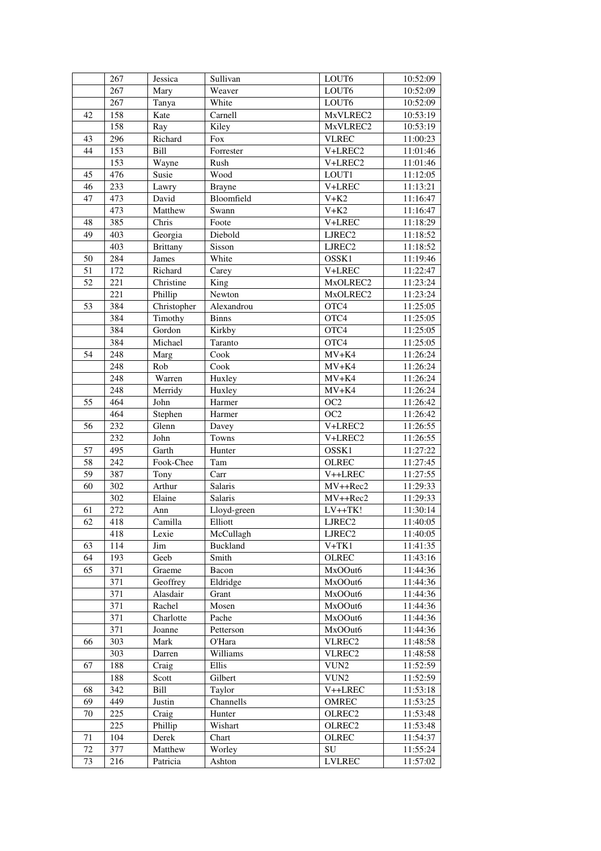|    | 267 | Jessica         | Sullivan      | LOUT6              | 10:52:09 |
|----|-----|-----------------|---------------|--------------------|----------|
|    | 267 | Mary            | Weaver        | LOUT6              | 10:52:09 |
|    | 267 | Tanya           | White         | LOUT6              | 10:52:09 |
| 42 | 158 | Kate            | Carnell       | MxVLREC2           | 10:53:19 |
|    | 158 | Ray             | Kiley         | MxVLREC2           | 10:53:19 |
| 43 | 296 | Richard         | Fox           | <b>VLREC</b>       | 11:00:23 |
| 44 | 153 | Bill            | Forrester     | V+LREC2            | 11:01:46 |
|    | 153 | Wayne           | Rush          | V+LREC2            | 11:01:46 |
| 45 | 476 | Susie           | Wood          | LOUT1              | 11:12:05 |
| 46 | 233 | Lawry           | <b>Brayne</b> | V+LREC             | 11:13:21 |
| 47 | 473 | David           | Bloomfield    | $V+K2$             | 11:16:47 |
|    | 473 | Matthew         | Swann         | $V+K2$             | 11:16:47 |
| 48 | 385 | Chris           | Foote         | V+LREC             | 11:18:29 |
| 49 | 403 | Georgia         | Diebold       | LJREC2             | 11:18:52 |
|    | 403 | <b>Brittany</b> | Sisson        | LJREC <sub>2</sub> | 11:18:52 |
| 50 | 284 | James           | White         | OSSK1              | 11:19:46 |
| 51 | 172 | Richard         | Carey         | V+LREC             | 11:22:47 |
| 52 | 221 | Christine       | King          | MxOLREC2           | 11:23:24 |
|    | 221 | Phillip         | Newton        | MxOLREC2           | 11:23:24 |
| 53 | 384 | Christopher     | Alexandrou    | OTC4               | 11:25:05 |
|    | 384 | Timothy         | <b>Binns</b>  | OTC4               | 11:25:05 |
|    | 384 | Gordon          | Kirkby        | OTC4               | 11:25:05 |
|    | 384 | Michael         | Taranto       | OTC4               | 11:25:05 |
| 54 | 248 | Marg            | Cook          | $MV+K4$            | 11:26:24 |
|    | 248 | Rob             | Cook          | $MV+K4$            | 11:26:24 |
|    | 248 | Warren          | Huxley        | $MV+K4$            | 11:26:24 |
|    | 248 | Merridy         | Huxley        | $MV+K4$            | 11:26:24 |
| 55 | 464 | John            | Harmer        | OC <sub>2</sub>    | 11:26:42 |
|    | 464 | Stephen         | Harmer        | OC <sub>2</sub>    | 11:26:42 |
| 56 | 232 | Glenn           | Davey         | V+LREC2            | 11:26:55 |
|    | 232 | John            | Towns         | V+LREC2            | 11:26:55 |
| 57 | 495 | Garth           | Hunter        | OSSK1              | 11:27:22 |
| 58 | 242 | Fook-Chee       | Tam           | <b>OLREC</b>       | 11:27:45 |
| 59 | 387 | Tony            | Carr          | V++LREC            | 11:27:55 |
| 60 | 302 | Arthur          | Salaris       | MV++Rec2           | 11:29:33 |
|    | 302 | Elaine          | Salaris       | MV++Rec2           | 11:29:33 |
| 61 | 272 | Ann             | Lloyd-green   | $LV++TK!$          | 11:30:14 |
| 62 | 418 | Camilla         | Elliott       | LJREC <sub>2</sub> | 11:40:05 |
|    | 418 | Lexie           | McCullagh     | LJREC2             | 11:40:05 |
| 63 | 114 | Jim             | Buckland      | $V+TK1$            | 11:41:35 |
| 64 | 193 | Geeb            | Smith         | <b>OLREC</b>       | 11:43:16 |
| 65 | 371 | Graeme          | Bacon         | MxOOut6            | 11:44:36 |
|    | 371 | Geoffrey        | Eldridge      | MxOOut6            | 11:44:36 |
|    | 371 | Alasdair        | Grant         | MxOOut6            | 11:44:36 |
|    | 371 | Rachel          | Mosen         | MxOOut6            | 11:44:36 |
|    | 371 | Charlotte       | Pache         | MxOOut6            | 11:44:36 |
|    | 371 | Joanne          | Petterson     | MxOOut6            | 11:44:36 |
| 66 | 303 | Mark            | O'Hara        | VLREC2             | 11:48:58 |
|    | 303 | Darren          | Williams      | VLREC2             | 11:48:58 |
| 67 | 188 | Craig           | Ellis         | VUN2               | 11:52:59 |
|    | 188 | Scott           | Gilbert       | VUN <sub>2</sub>   | 11:52:59 |
| 68 | 342 | Bill            | Taylor        | V++LREC            | 11:53:18 |
| 69 | 449 | Justin          | Channells     | OMREC              | 11:53:25 |
| 70 | 225 | Craig           | Hunter        | OLREC <sub>2</sub> | 11:53:48 |
|    | 225 | Phillip         | Wishart       | OLREC2             | 11:53:48 |
| 71 | 104 | Derek           | Chart         | <b>OLREC</b>       | 11:54:37 |
| 72 | 377 | Matthew         | Worley        | SU                 | 11:55:24 |
| 73 | 216 | Patricia        | Ashton        | <b>LVLREC</b>      | 11:57:02 |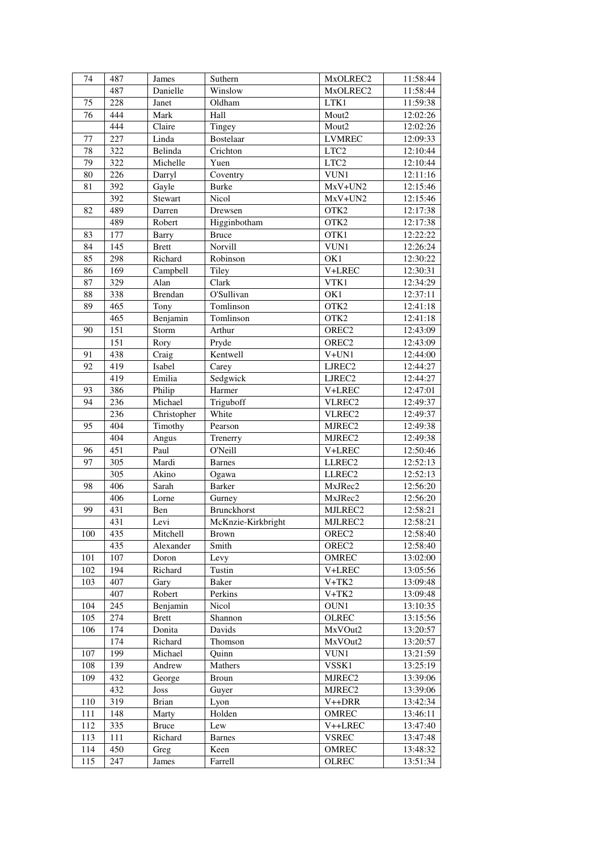| 74  | 487 | James          | Suthern            | MxOLREC2            | 11:58:44 |
|-----|-----|----------------|--------------------|---------------------|----------|
|     | 487 | Danielle       | Winslow            | MxOLREC2            | 11:58:44 |
| 75  | 228 | Janet          | Oldham             | LTK1                | 11:59:38 |
| 76  | 444 | Mark           | Hall               | Mout2               | 12:02:26 |
|     | 444 | Claire         | Tingey             | Mout2               | 12:02:26 |
| 77  | 227 | Linda          | <b>Bostelaar</b>   | <b>LVMREC</b>       | 12:09:33 |
| 78  | 322 | Belinda        | Crichton           | LTC <sub>2</sub>    | 12:10:44 |
| 79  | 322 | Michelle       | Yuen               | LTC <sub>2</sub>    | 12:10:44 |
| 80  | 226 | Darryl         | Coventry           | VUN1                | 12:11:16 |
| 81  | 392 | Gayle          | <b>Burke</b>       | $MxV+UN2$           | 12:15:46 |
|     | 392 | Stewart        | Nicol              | MxV+UN2             | 12:15:46 |
| 82  | 489 | Darren         | Drewsen            | OTK <sub>2</sub>    | 12:17:38 |
|     | 489 | Robert         | Higginbotham       | OTK <sub>2</sub>    | 12:17:38 |
| 83  | 177 | <b>Barry</b>   | <b>Bruce</b>       | OTK1                | 12:22:22 |
| 84  | 145 | <b>Brett</b>   | Norvill            | VUN1                | 12:26:24 |
| 85  | 298 | Richard        | Robinson           | OK1                 | 12:30:22 |
| 86  | 169 | Campbell       | Tiley              | V+LREC              | 12:30:31 |
| 87  | 329 | Alan           | Clark              | VTK1                | 12:34:29 |
| 88  | 338 | <b>Brendan</b> | O'Sullivan         | OK1                 | 12:37:11 |
| 89  | 465 | Tony           | Tomlinson          | OTK2                | 12:41:18 |
|     | 465 | Benjamin       | Tomlinson          | OTK <sub>2</sub>    | 12:41:18 |
| 90  | 151 | Storm          | Arthur             | OREC <sub>2</sub>   | 12:43:09 |
|     | 151 | Rory           | Pryde              | OREC <sub>2</sub>   | 12:43:09 |
| 91  | 438 | Craig          | Kentwell           | $V+UN1$             | 12:44:00 |
| 92  | 419 | Isabel         | Carey              | LJREC <sub>2</sub>  | 12:44:27 |
|     | 419 | Emilia         | Sedgwick           | LJREC2              | 12:44:27 |
| 93  | 386 | Philip         | Harmer             | V+LREC              | 12:47:01 |
| 94  | 236 | Michael        | Triguboff          | VLREC2              | 12:49:37 |
|     | 236 | Christopher    | White              | VLREC2              | 12:49:37 |
| 95  | 404 | Timothy        | Pearson            | MJREC2              | 12:49:38 |
|     | 404 | Angus          | Trenerry           | MJREC2              | 12:49:38 |
| 96  | 451 | Paul           | O'Neill            | V+LREC              | 12:50:46 |
| 97  | 305 | Mardi          | <b>Barnes</b>      | LLREC <sub>2</sub>  | 12:52:13 |
|     | 305 | Akino          | Ogawa              | LLREC2              | 12:52:13 |
| 98  | 406 | Sarah          | <b>Barker</b>      | MxJRec2             | 12:56:20 |
|     | 406 | Lorne          | Gurney             | MxJRec2             | 12:56:20 |
| 99  | 431 | Ben            | Brunckhorst        | MJLREC2             | 12:58:21 |
|     | 431 | Levi           | McKnzie-Kirkbright | MJLREC2             | 12:58:21 |
| 100 | 435 | Mitchell       | <b>Brown</b>       | OREC <sub>2</sub>   | 12:58:40 |
|     | 435 | Alexander      | Smith              | OREC <sub>2</sub>   | 12:58:40 |
| 101 | 107 | Doron          | Levy               | <b>OMREC</b>        | 13:02:00 |
| 102 | 194 | Richard        | Tustin             | V+LREC              | 13:05:56 |
| 103 | 407 | Gary           | Baker              | $V+TK2$             | 13:09:48 |
|     | 407 | Robert         | Perkins            | $V+TK2$             | 13:09:48 |
| 104 | 245 | Benjamin       | Nicol              | OUN1                | 13:10:35 |
| 105 | 274 | <b>Brett</b>   | Shannon            | <b>OLREC</b>        | 13:15:56 |
| 106 | 174 | Donita         | Davids             | MxVOut2             | 13:20:57 |
|     | 174 | Richard        | Thomson            | MxVOut2             | 13:20:57 |
| 107 | 199 | Michael        | Quinn              | VUN1                | 13:21:59 |
| 108 | 139 | Andrew         | Mathers            | VSSK1               | 13:25:19 |
| 109 | 432 | George         | Broun              | MJREC2              | 13:39:06 |
|     | 432 | Joss           | Guyer              | MJREC2              | 13:39:06 |
| 110 | 319 | <b>Brian</b>   | Lyon               | V <sub>++</sub> DRR | 13:42:34 |
| 111 | 148 | Marty          | Holden             | OMREC               | 13:46:11 |
| 112 | 335 | <b>Bruce</b>   | Lew                | V++LREC             | 13:47:40 |
| 113 | 111 | Richard        | <b>Barnes</b>      | <b>VSREC</b>        | 13:47:48 |
| 114 | 450 | Greg           | Keen               | <b>OMREC</b>        | 13:48:32 |
| 115 | 247 | James          | Farrell            | <b>OLREC</b>        | 13:51:34 |